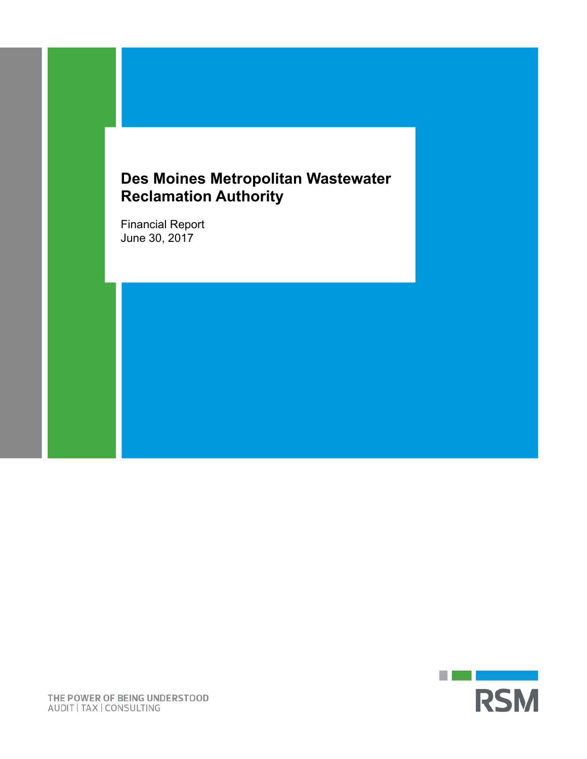Financial Report June 30, 2017

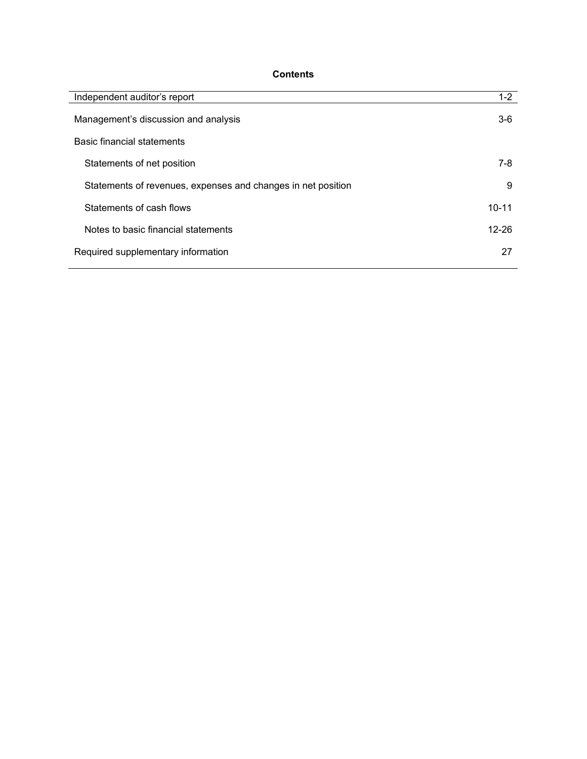**Contents** 

| Independent auditor's report                                 | $1 - 2$   |
|--------------------------------------------------------------|-----------|
| Management's discussion and analysis                         | $3-6$     |
| Basic financial statements                                   |           |
| Statements of net position                                   | 7-8       |
| Statements of revenues, expenses and changes in net position | 9         |
| Statements of cash flows                                     | $10 - 11$ |
| Notes to basic financial statements                          | $12 - 26$ |
| Required supplementary information                           | 27        |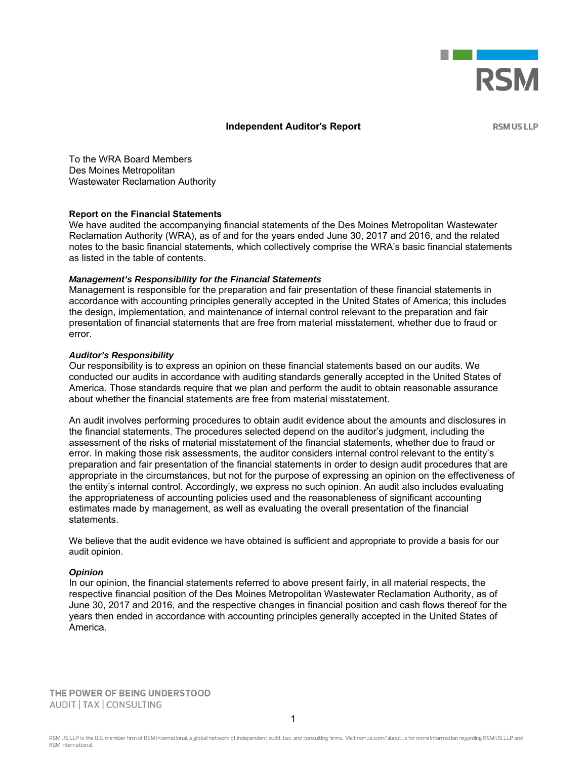

### **Independent Auditor's Report**

**RSM US LLP** 

To the WRA Board Members Des Moines Metropolitan Wastewater Reclamation Authority

#### **Report on the Financial Statements**

We have audited the accompanying financial statements of the Des Moines Metropolitan Wastewater Reclamation Authority (WRA), as of and for the years ended June 30, 2017 and 2016, and the related notes to the basic financial statements, which collectively comprise the WRA's basic financial statements as listed in the table of contents.

#### *Management's Responsibility for the Financial Statements*

Management is responsible for the preparation and fair presentation of these financial statements in accordance with accounting principles generally accepted in the United States of America; this includes the design, implementation, and maintenance of internal control relevant to the preparation and fair presentation of financial statements that are free from material misstatement, whether due to fraud or error.

#### *Auditor's Responsibility*

Our responsibility is to express an opinion on these financial statements based on our audits. We conducted our audits in accordance with auditing standards generally accepted in the United States of America. Those standards require that we plan and perform the audit to obtain reasonable assurance about whether the financial statements are free from material misstatement.

An audit involves performing procedures to obtain audit evidence about the amounts and disclosures in the financial statements. The procedures selected depend on the auditor's judgment, including the assessment of the risks of material misstatement of the financial statements, whether due to fraud or error. In making those risk assessments, the auditor considers internal control relevant to the entity's preparation and fair presentation of the financial statements in order to design audit procedures that are appropriate in the circumstances, but not for the purpose of expressing an opinion on the effectiveness of the entity's internal control. Accordingly, we express no such opinion. An audit also includes evaluating the appropriateness of accounting policies used and the reasonableness of significant accounting estimates made by management, as well as evaluating the overall presentation of the financial statements.

We believe that the audit evidence we have obtained is sufficient and appropriate to provide a basis for our audit opinion.

#### *Opinion*

In our opinion, the financial statements referred to above present fairly, in all material respects, the respective financial position of the Des Moines Metropolitan Wastewater Reclamation Authority, as of June 30, 2017 and 2016, and the respective changes in financial position and cash flows thereof for the years then ended in accordance with accounting principles generally accepted in the United States of America.

THE POWER OF BEING UNDERSTOOD AUDIT | TAX | CONSULTING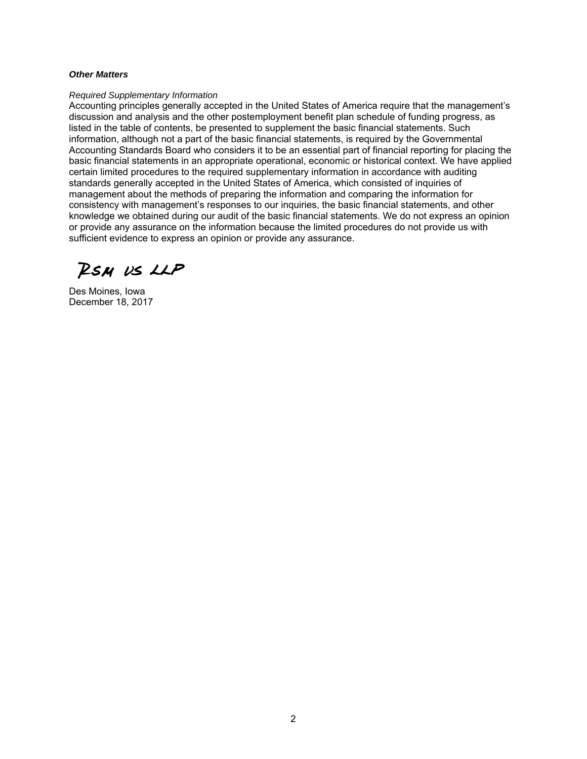#### *Other Matters*

#### *Required Supplementary Information*

Accounting principles generally accepted in the United States of America require that the management's discussion and analysis and the other postemployment benefit plan schedule of funding progress, as listed in the table of contents, be presented to supplement the basic financial statements. Such information, although not a part of the basic financial statements, is required by the Governmental Accounting Standards Board who considers it to be an essential part of financial reporting for placing the basic financial statements in an appropriate operational, economic or historical context. We have applied certain limited procedures to the required supplementary information in accordance with auditing standards generally accepted in the United States of America, which consisted of inquiries of management about the methods of preparing the information and comparing the information for consistency with management's responses to our inquiries, the basic financial statements, and other knowledge we obtained during our audit of the basic financial statements. We do not express an opinion or provide any assurance on the information because the limited procedures do not provide us with sufficient evidence to express an opinion or provide any assurance.

RSM US LLP

Des Moines, Iowa December 18, 2017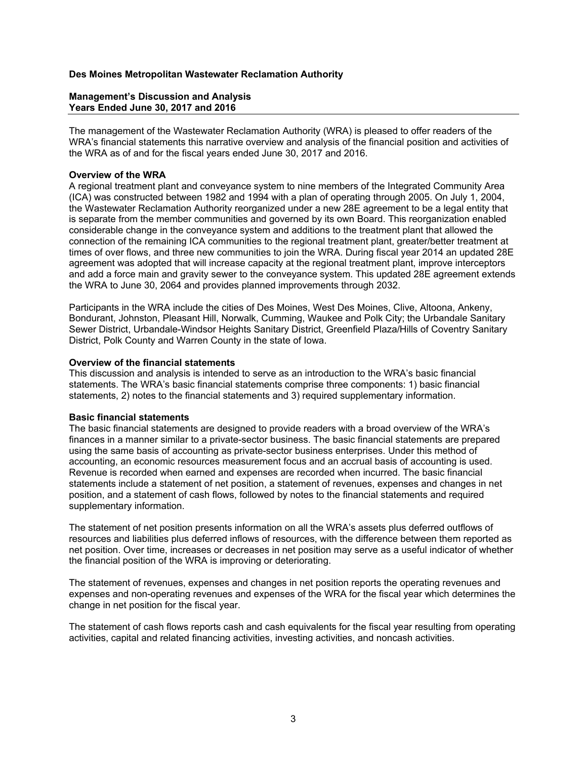### **Management's Discussion and Analysis Years Ended June 30, 2017 and 2016**

The management of the Wastewater Reclamation Authority (WRA) is pleased to offer readers of the WRA's financial statements this narrative overview and analysis of the financial position and activities of the WRA as of and for the fiscal years ended June 30, 2017 and 2016.

## **Overview of the WRA**

A regional treatment plant and conveyance system to nine members of the Integrated Community Area (ICA) was constructed between 1982 and 1994 with a plan of operating through 2005. On July 1, 2004, the Wastewater Reclamation Authority reorganized under a new 28E agreement to be a legal entity that is separate from the member communities and governed by its own Board. This reorganization enabled considerable change in the conveyance system and additions to the treatment plant that allowed the connection of the remaining ICA communities to the regional treatment plant, greater/better treatment at times of over flows, and three new communities to join the WRA. During fiscal year 2014 an updated 28E agreement was adopted that will increase capacity at the regional treatment plant, improve interceptors and add a force main and gravity sewer to the conveyance system. This updated 28E agreement extends the WRA to June 30, 2064 and provides planned improvements through 2032.

Participants in the WRA include the cities of Des Moines, West Des Moines, Clive, Altoona, Ankeny, Bondurant, Johnston, Pleasant Hill, Norwalk, Cumming, Waukee and Polk City; the Urbandale Sanitary Sewer District, Urbandale-Windsor Heights Sanitary District, Greenfield Plaza/Hills of Coventry Sanitary District, Polk County and Warren County in the state of Iowa.

## **Overview of the financial statements**

This discussion and analysis is intended to serve as an introduction to the WRA's basic financial statements. The WRA's basic financial statements comprise three components: 1) basic financial statements, 2) notes to the financial statements and 3) required supplementary information.

## **Basic financial statements**

The basic financial statements are designed to provide readers with a broad overview of the WRA's finances in a manner similar to a private-sector business. The basic financial statements are prepared using the same basis of accounting as private-sector business enterprises. Under this method of accounting, an economic resources measurement focus and an accrual basis of accounting is used. Revenue is recorded when earned and expenses are recorded when incurred. The basic financial statements include a statement of net position, a statement of revenues, expenses and changes in net position, and a statement of cash flows, followed by notes to the financial statements and required supplementary information.

The statement of net position presents information on all the WRA's assets plus deferred outflows of resources and liabilities plus deferred inflows of resources, with the difference between them reported as net position. Over time, increases or decreases in net position may serve as a useful indicator of whether the financial position of the WRA is improving or deteriorating.

The statement of revenues, expenses and changes in net position reports the operating revenues and expenses and non-operating revenues and expenses of the WRA for the fiscal year which determines the change in net position for the fiscal year.

The statement of cash flows reports cash and cash equivalents for the fiscal year resulting from operating activities, capital and related financing activities, investing activities, and noncash activities.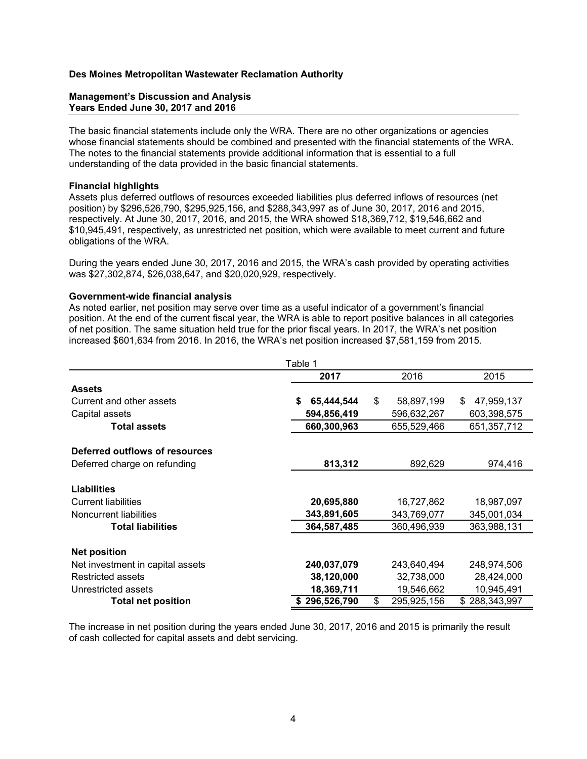#### **Management's Discussion and Analysis Years Ended June 30, 2017 and 2016**

The basic financial statements include only the WRA. There are no other organizations or agencies whose financial statements should be combined and presented with the financial statements of the WRA. The notes to the financial statements provide additional information that is essential to a full understanding of the data provided in the basic financial statements.

#### **Financial highlights**

Assets plus deferred outflows of resources exceeded liabilities plus deferred inflows of resources (net position) by \$296,526,790, \$295,925,156, and \$288,343,997 as of June 30, 2017, 2016 and 2015, respectively. At June 30, 2017, 2016, and 2015, the WRA showed \$18,369,712, \$19,546,662 and \$10,945,491, respectively, as unrestricted net position, which were available to meet current and future obligations of the WRA.

During the years ended June 30, 2017, 2016 and 2015, the WRA's cash provided by operating activities was \$27,302,874, \$26,038,647, and \$20,020,929, respectively.

### **Government-wide financial analysis**

As noted earlier, net position may serve over time as a useful indicator of a government's financial position. At the end of the current fiscal year, the WRA is able to report positive balances in all categories of net position. The same situation held true for the prior fiscal years. In 2017, the WRA's net position increased \$601,634 from 2016. In 2016, the WRA's net position increased \$7,581,159 from 2015.

|                                  | Table 1         |                   |                    |
|----------------------------------|-----------------|-------------------|--------------------|
|                                  | 2017            | 2016              | 2015               |
| <b>Assets</b>                    |                 |                   |                    |
| Current and other assets         | 65,444,544<br>S | \$<br>58,897,199  | 47,959,137<br>\$.  |
| Capital assets                   | 594,856,419     | 596,632,267       | 603,398,575        |
| <b>Total assets</b>              | 660,300,963     | 655,529,466       | 651, 357, 712      |
| Deferred outflows of resources   |                 |                   |                    |
| Deferred charge on refunding     | 813,312         | 892,629           | 974,416            |
| <b>Liabilities</b>               |                 |                   |                    |
| <b>Current liabilities</b>       | 20,695,880      | 16,727,862        | 18,987,097         |
| Noncurrent liabilities           | 343,891,605     | 343,769,077       | 345,001,034        |
| <b>Total liabilities</b>         | 364,587,485     | 360,496,939       | 363,988,131        |
| <b>Net position</b>              |                 |                   |                    |
| Net investment in capital assets | 240,037,079     | 243,640,494       | 248,974,506        |
| Restricted assets                | 38,120,000      | 32,738,000        | 28,424,000         |
| Unrestricted assets              | 18,369,711      | 19,546,662        | 10,945,491         |
| <b>Total net position</b>        | 296,526,790     | 295,925,156<br>\$ | 288,343,997<br>\$. |

The increase in net position during the years ended June 30, 2017, 2016 and 2015 is primarily the result of cash collected for capital assets and debt servicing.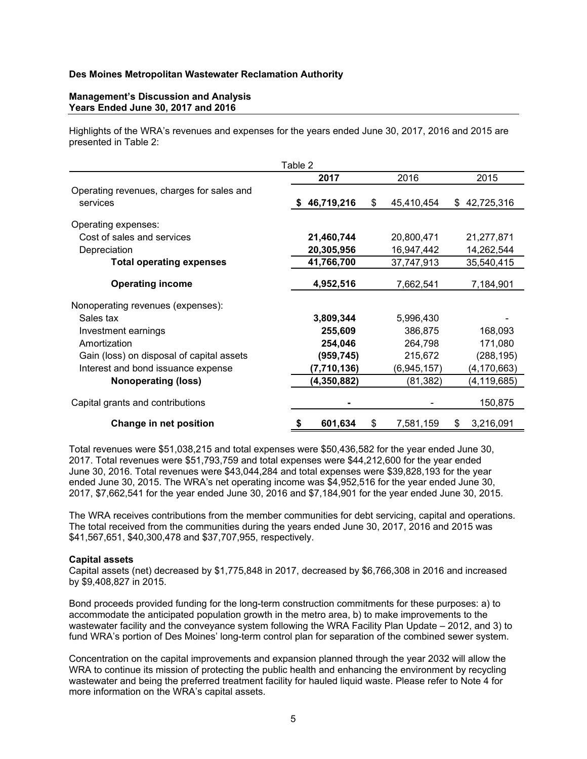#### **Management's Discussion and Analysis Years Ended June 30, 2017 and 2016**

Highlights of the WRA's revenues and expenses for the years ended June 30, 2017, 2016 and 2015 are presented in Table 2:

|                                           | Table 2 |               |                  |   |               |
|-------------------------------------------|---------|---------------|------------------|---|---------------|
|                                           |         | 2017          | 2016             |   | 2015          |
| Operating revenues, charges for sales and |         |               |                  |   |               |
| services                                  |         | 46,719,216    | \$<br>45,410,454 |   | \$42,725,316  |
| Operating expenses:                       |         |               |                  |   |               |
| Cost of sales and services                |         | 21,460,744    | 20,800,471       |   | 21,277,871    |
| Depreciation                              |         | 20,305,956    | 16,947,442       |   | 14,262,544    |
| <b>Total operating expenses</b>           |         | 41,766,700    | 37,747,913       |   | 35,540,415    |
| <b>Operating income</b>                   |         | 4,952,516     | 7,662,541        |   | 7,184,901     |
| Nonoperating revenues (expenses):         |         |               |                  |   |               |
| Sales tax                                 |         | 3,809,344     | 5,996,430        |   |               |
| Investment earnings                       |         | 255,609       | 386,875          |   | 168,093       |
| Amortization                              |         | 254,046       | 264,798          |   | 171,080       |
| Gain (loss) on disposal of capital assets |         | (959, 745)    | 215,672          |   | (288, 195)    |
| Interest and bond issuance expense        |         | (7,710,136)   | (6,945,157)      |   | (4, 170, 663) |
| <b>Nonoperating (loss)</b>                |         | (4, 350, 882) | (81, 382)        |   | (4,119,685)   |
| Capital grants and contributions          |         |               |                  |   | 150,875       |
| Change in net position                    |         | 601,634       | \$<br>7,581,159  | S | 3,216,091     |

Total revenues were \$51,038,215 and total expenses were \$50,436,582 for the year ended June 30, 2017. Total revenues were \$51,793,759 and total expenses were \$44,212,600 for the year ended June 30, 2016. Total revenues were \$43,044,284 and total expenses were \$39,828,193 for the year ended June 30, 2015. The WRA's net operating income was \$4,952,516 for the year ended June 30, 2017, \$7,662,541 for the year ended June 30, 2016 and \$7,184,901 for the year ended June 30, 2015.

The WRA receives contributions from the member communities for debt servicing, capital and operations. The total received from the communities during the years ended June 30, 2017, 2016 and 2015 was \$41,567,651, \$40,300,478 and \$37,707,955, respectively.

## **Capital assets**

Capital assets (net) decreased by \$1,775,848 in 2017, decreased by \$6,766,308 in 2016 and increased by \$9,408,827 in 2015.

Bond proceeds provided funding for the long-term construction commitments for these purposes: a) to accommodate the anticipated population growth in the metro area, b) to make improvements to the wastewater facility and the conveyance system following the WRA Facility Plan Update – 2012, and 3) to fund WRA's portion of Des Moines' long-term control plan for separation of the combined sewer system.

Concentration on the capital improvements and expansion planned through the year 2032 will allow the WRA to continue its mission of protecting the public health and enhancing the environment by recycling wastewater and being the preferred treatment facility for hauled liquid waste. Please refer to Note 4 for more information on the WRA's capital assets.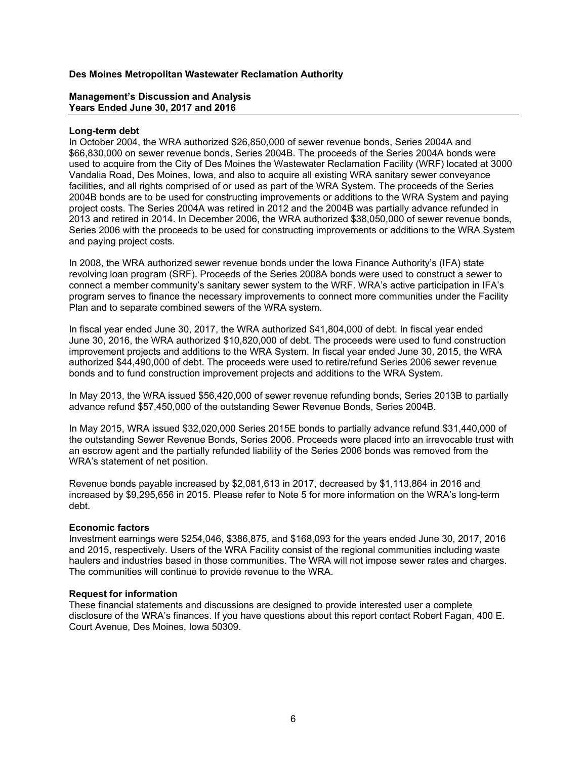#### **Management's Discussion and Analysis Years Ended June 30, 2017 and 2016**

#### **Long-term debt**

In October 2004, the WRA authorized \$26,850,000 of sewer revenue bonds, Series 2004A and \$66,830,000 on sewer revenue bonds, Series 2004B. The proceeds of the Series 2004A bonds were used to acquire from the City of Des Moines the Wastewater Reclamation Facility (WRF) located at 3000 Vandalia Road, Des Moines, Iowa, and also to acquire all existing WRA sanitary sewer conveyance facilities, and all rights comprised of or used as part of the WRA System. The proceeds of the Series 2004B bonds are to be used for constructing improvements or additions to the WRA System and paying project costs. The Series 2004A was retired in 2012 and the 2004B was partially advance refunded in 2013 and retired in 2014. In December 2006, the WRA authorized \$38,050,000 of sewer revenue bonds, Series 2006 with the proceeds to be used for constructing improvements or additions to the WRA System and paying project costs.

In 2008, the WRA authorized sewer revenue bonds under the Iowa Finance Authority's (IFA) state revolving loan program (SRF). Proceeds of the Series 2008A bonds were used to construct a sewer to connect a member community's sanitary sewer system to the WRF. WRA's active participation in IFA's program serves to finance the necessary improvements to connect more communities under the Facility Plan and to separate combined sewers of the WRA system.

In fiscal year ended June 30, 2017, the WRA authorized \$41,804,000 of debt. In fiscal year ended June 30, 2016, the WRA authorized \$10,820,000 of debt. The proceeds were used to fund construction improvement projects and additions to the WRA System. In fiscal year ended June 30, 2015, the WRA authorized \$44,490,000 of debt. The proceeds were used to retire/refund Series 2006 sewer revenue bonds and to fund construction improvement projects and additions to the WRA System.

In May 2013, the WRA issued \$56,420,000 of sewer revenue refunding bonds, Series 2013B to partially advance refund \$57,450,000 of the outstanding Sewer Revenue Bonds, Series 2004B.

In May 2015, WRA issued \$32,020,000 Series 2015E bonds to partially advance refund \$31,440,000 of the outstanding Sewer Revenue Bonds, Series 2006. Proceeds were placed into an irrevocable trust with an escrow agent and the partially refunded liability of the Series 2006 bonds was removed from the WRA's statement of net position.

Revenue bonds payable increased by \$2,081,613 in 2017, decreased by \$1,113,864 in 2016 and increased by \$9,295,656 in 2015. Please refer to Note 5 for more information on the WRA's long-term debt.

## **Economic factors**

Investment earnings were \$254,046, \$386,875, and \$168,093 for the years ended June 30, 2017, 2016 and 2015, respectively. Users of the WRA Facility consist of the regional communities including waste haulers and industries based in those communities. The WRA will not impose sewer rates and charges. The communities will continue to provide revenue to the WRA.

#### **Request for information**

These financial statements and discussions are designed to provide interested user a complete disclosure of the WRA's finances. If you have questions about this report contact Robert Fagan, 400 E. Court Avenue, Des Moines, Iowa 50309.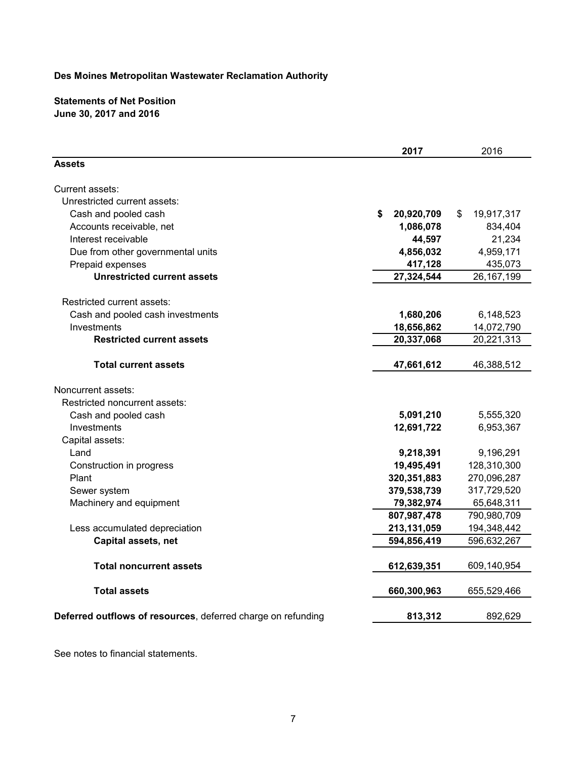**Statements of Net Position June 30, 2017 and 2016**

|                                                              | 2017             | 2016            |
|--------------------------------------------------------------|------------------|-----------------|
| Assets                                                       |                  |                 |
| Current assets:                                              |                  |                 |
| Unrestricted current assets:                                 |                  |                 |
| Cash and pooled cash                                         | \$<br>20,920,709 | 19,917,317<br>S |
| Accounts receivable, net                                     | 1,086,078        | 834,404         |
| Interest receivable                                          | 44,597           | 21,234          |
| Due from other governmental units                            | 4,856,032        | 4,959,171       |
| Prepaid expenses                                             | 417,128          | 435,073         |
| <b>Unrestricted current assets</b>                           | 27,324,544       | 26, 167, 199    |
| Restricted current assets:                                   |                  |                 |
| Cash and pooled cash investments                             | 1,680,206        | 6,148,523       |
| Investments                                                  | 18,656,862       | 14,072,790      |
| <b>Restricted current assets</b>                             | 20,337,068       | 20,221,313      |
| <b>Total current assets</b>                                  | 47,661,612       | 46,388,512      |
| Noncurrent assets:                                           |                  |                 |
| Restricted noncurrent assets:                                |                  |                 |
| Cash and pooled cash                                         | 5,091,210        | 5,555,320       |
| Investments                                                  | 12,691,722       | 6,953,367       |
| Capital assets:                                              |                  |                 |
| Land                                                         | 9,218,391        | 9,196,291       |
| Construction in progress                                     | 19,495,491       | 128,310,300     |
| Plant                                                        | 320, 351, 883    | 270,096,287     |
| Sewer system                                                 | 379,538,739      | 317,729,520     |
| Machinery and equipment                                      | 79,382,974       | 65,648,311      |
|                                                              | 807,987,478      | 790,980,709     |
| Less accumulated depreciation                                | 213,131,059      | 194,348,442     |
| Capital assets, net                                          | 594,856,419      | 596,632,267     |
| <b>Total noncurrent assets</b>                               | 612,639,351      | 609,140,954     |
| <b>Total assets</b>                                          | 660,300,963      | 655,529,466     |
| Deferred outflows of resources, deferred charge on refunding | 813,312          | 892,629         |

See notes to financial statements.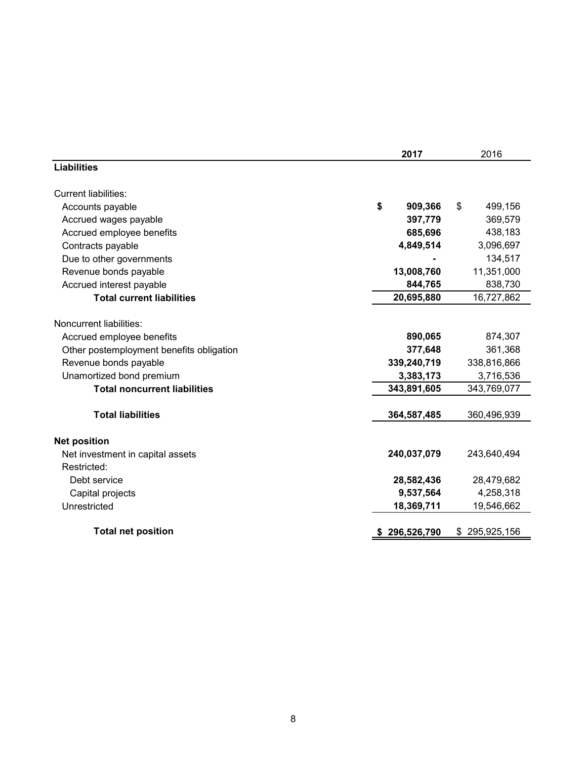|                                          | 2017          | 2016          |
|------------------------------------------|---------------|---------------|
| <b>Liabilities</b>                       |               |               |
| <b>Current liabilities:</b>              |               |               |
| Accounts payable                         | \$<br>909,366 | \$<br>499,156 |
| Accrued wages payable                    | 397,779       | 369,579       |
| Accrued employee benefits                | 685,696       | 438,183       |
| Contracts payable                        | 4,849,514     | 3,096,697     |
| Due to other governments                 |               | 134,517       |
| Revenue bonds payable                    | 13,008,760    | 11,351,000    |
| Accrued interest payable                 | 844,765       | 838,730       |
| <b>Total current liabilities</b>         | 20,695,880    | 16,727,862    |
| Noncurrent liabilities:                  |               |               |
| Accrued employee benefits                | 890,065       | 874,307       |
| Other postemployment benefits obligation | 377,648       | 361,368       |
| Revenue bonds payable                    | 339,240,719   | 338,816,866   |
| Unamortized bond premium                 | 3,383,173     | 3,716,536     |
| <b>Total noncurrent liabilities</b>      | 343,891,605   | 343,769,077   |
| <b>Total liabilities</b>                 | 364,587,485   | 360,496,939   |
| <b>Net position</b>                      |               |               |
| Net investment in capital assets         | 240,037,079   | 243,640,494   |
| Restricted:                              |               |               |
| Debt service                             | 28,582,436    | 28,479,682    |
| Capital projects                         | 9,537,564     | 4,258,318     |
| Unrestricted                             | 18,369,711    | 19,546,662    |
| <b>Total net position</b>                | 296,526,790   | \$295,925,156 |
|                                          |               |               |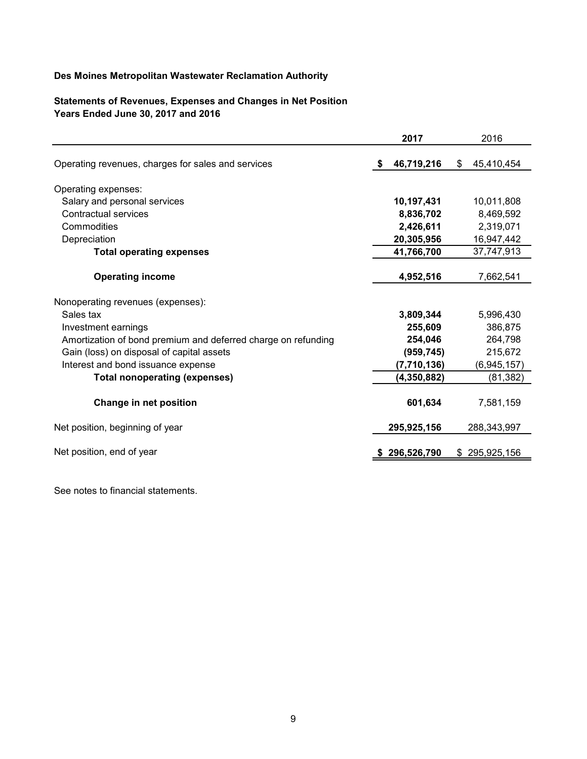## **Statements of Revenues, Expenses and Changes in Net Position Years Ended June 30, 2017 and 2016**

|                                                               | 2017          | 2016             |
|---------------------------------------------------------------|---------------|------------------|
| Operating revenues, charges for sales and services<br>\$      | 46,719,216    | \$<br>45,410,454 |
| Operating expenses:                                           |               |                  |
| Salary and personal services                                  | 10,197,431    | 10,011,808       |
| Contractual services                                          | 8,836,702     | 8,469,592        |
| Commodities                                                   | 2,426,611     | 2,319,071        |
| Depreciation                                                  | 20,305,956    | 16,947,442       |
| <b>Total operating expenses</b>                               | 41,766,700    | 37,747,913       |
| <b>Operating income</b>                                       | 4,952,516     | 7,662,541        |
| Nonoperating revenues (expenses):                             |               |                  |
| Sales tax                                                     | 3,809,344     | 5,996,430        |
| Investment earnings                                           | 255,609       | 386,875          |
| Amortization of bond premium and deferred charge on refunding | 254,046       | 264,798          |
| Gain (loss) on disposal of capital assets                     | (959, 745)    | 215,672          |
| Interest and bond issuance expense                            | (7,710,136)   | (6,945,157)      |
| <b>Total nonoperating (expenses)</b>                          | (4,350,882)   | (81, 382)        |
| Change in net position                                        | 601,634       | 7,581,159        |
| Net position, beginning of year                               | 295,925,156   | 288,343,997      |
| Net position, end of year                                     | \$296,526,790 | \$295,925,156    |

See notes to financial statements.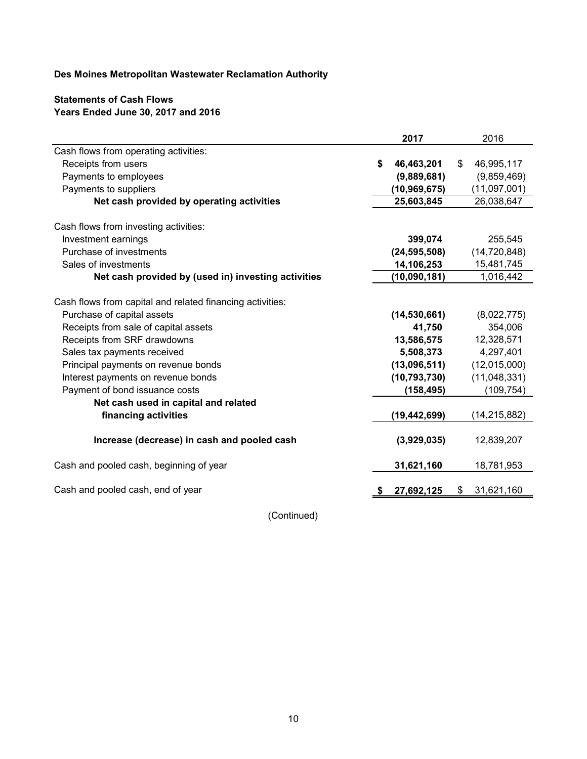## **Statements of Cash Flows Years Ended June 30, 2017 and 2016**

|                                                           | 2017             | 2016             |
|-----------------------------------------------------------|------------------|------------------|
| Cash flows from operating activities:                     |                  |                  |
| Receipts from users                                       | \$<br>46,463,201 | \$<br>46,995,117 |
| Payments to employees                                     | (9,889,681)      | (9,859,469)      |
| Payments to suppliers                                     | (10, 969, 675)   | (11,097,001)     |
| Net cash provided by operating activities                 | 25,603,845       | 26,038,647       |
| Cash flows from investing activities:                     |                  |                  |
| Investment earnings                                       | 399,074          | 255,545          |
| Purchase of investments                                   | (24, 595, 508)   | (14, 720, 848)   |
| Sales of investments                                      | 14,106,253       | 15,481,745       |
| Net cash provided by (used in) investing activities       | (10,090,181)     | 1,016,442        |
| Cash flows from capital and related financing activities: |                  |                  |
| Purchase of capital assets                                | (14, 530, 661)   | (8,022,775)      |
| Receipts from sale of capital assets                      | 41,750           | 354,006          |
| Receipts from SRF drawdowns                               | 13,586,575       | 12,328,571       |
| Sales tax payments received                               | 5,508,373        | 4,297,401        |
| Principal payments on revenue bonds                       | (13,096,511)     | (12,015,000)     |
| Interest payments on revenue bonds                        | (10, 793, 730)   | (11,048,331)     |
| Payment of bond issuance costs                            | (158, 495)       | (109, 754)       |
| Net cash used in capital and related                      |                  |                  |
| financing activities                                      | (19, 442, 699)   | (14, 215, 882)   |
| Increase (decrease) in cash and pooled cash               | (3,929,035)      | 12,839,207       |
| Cash and pooled cash, beginning of year                   | 31,621,160       | 18,781,953       |
| Cash and pooled cash, end of year                         | 27,692,125       | \$<br>31,621,160 |

(Continued)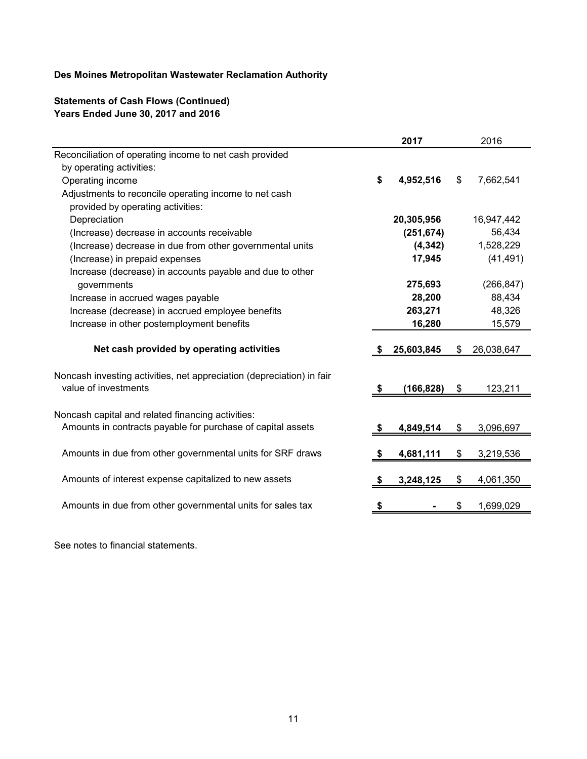## **Statements of Cash Flows (Continued) Years Ended June 30, 2017 and 2016**

|                                                                       |     | 2017       | 2016             |
|-----------------------------------------------------------------------|-----|------------|------------------|
| Reconciliation of operating income to net cash provided               |     |            |                  |
| by operating activities:                                              |     |            |                  |
| Operating income                                                      | \$  | 4,952,516  | \$<br>7,662,541  |
| Adjustments to reconcile operating income to net cash                 |     |            |                  |
| provided by operating activities:                                     |     |            |                  |
| Depreciation                                                          |     | 20,305,956 | 16,947,442       |
| (Increase) decrease in accounts receivable                            |     | (251, 674) | 56,434           |
| (Increase) decrease in due from other governmental units              |     | (4, 342)   | 1,528,229        |
| (Increase) in prepaid expenses                                        |     | 17,945     | (41, 491)        |
| Increase (decrease) in accounts payable and due to other              |     |            |                  |
| governments                                                           |     | 275,693    | (266, 847)       |
| Increase in accrued wages payable                                     |     | 28,200     | 88,434           |
| Increase (decrease) in accrued employee benefits                      |     | 263,271    | 48,326           |
| Increase in other postemployment benefits                             |     | 16,280     | 15,579           |
|                                                                       |     |            |                  |
| Net cash provided by operating activities                             |     | 25,603,845 | \$<br>26,038,647 |
|                                                                       |     |            |                  |
| Noncash investing activities, net appreciation (depreciation) in fair |     |            |                  |
| value of investments                                                  | - 5 | (166, 828) | \$<br>123,211    |
|                                                                       |     |            |                  |
| Noncash capital and related financing activities:                     |     |            |                  |
| Amounts in contracts payable for purchase of capital assets           |     | 4,849,514  | \$<br>3,096,697  |
|                                                                       |     |            |                  |
| Amounts in due from other governmental units for SRF draws            |     | 4,681,111  | \$<br>3,219,536  |
|                                                                       |     |            |                  |
| Amounts of interest expense capitalized to new assets                 | - 5 | 3,248,125  | \$<br>4,061,350  |
| Amounts in due from other governmental units for sales tax            | \$  |            | \$<br>1,699,029  |
|                                                                       |     |            |                  |

See notes to financial statements.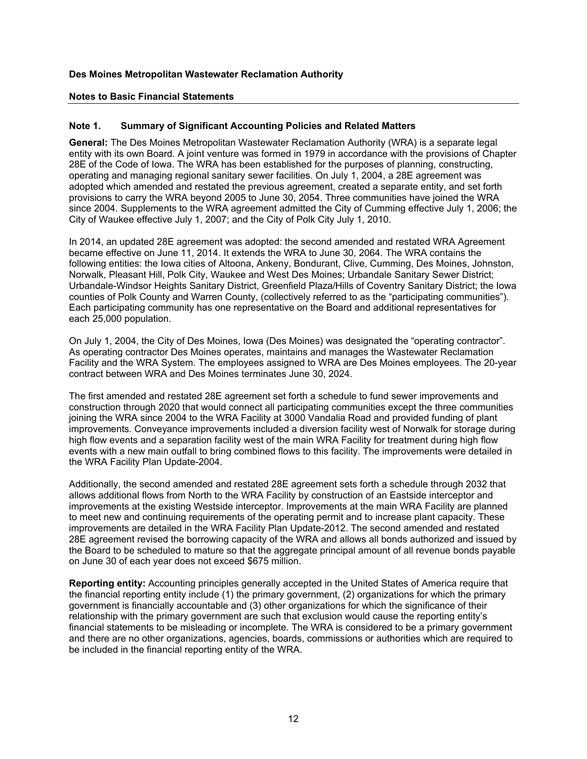## **Notes to Basic Financial Statements**

## **Note 1. Summary of Significant Accounting Policies and Related Matters**

**General:** The Des Moines Metropolitan Wastewater Reclamation Authority (WRA) is a separate legal entity with its own Board. A joint venture was formed in 1979 in accordance with the provisions of Chapter 28E of the Code of Iowa. The WRA has been established for the purposes of planning, constructing, operating and managing regional sanitary sewer facilities. On July 1, 2004, a 28E agreement was adopted which amended and restated the previous agreement, created a separate entity, and set forth provisions to carry the WRA beyond 2005 to June 30, 2054. Three communities have joined the WRA since 2004. Supplements to the WRA agreement admitted the City of Cumming effective July 1, 2006; the City of Waukee effective July 1, 2007; and the City of Polk City July 1, 2010.

In 2014, an updated 28E agreement was adopted: the second amended and restated WRA Agreement became effective on June 11, 2014. It extends the WRA to June 30, 2064. The WRA contains the following entities: the Iowa cities of Altoona, Ankeny, Bondurant, Clive, Cumming, Des Moines, Johnston, Norwalk, Pleasant Hill, Polk City, Waukee and West Des Moines; Urbandale Sanitary Sewer District; Urbandale-Windsor Heights Sanitary District, Greenfield Plaza/Hills of Coventry Sanitary District; the Iowa counties of Polk County and Warren County, (collectively referred to as the "participating communities"). Each participating community has one representative on the Board and additional representatives for each 25,000 population.

On July 1, 2004, the City of Des Moines, Iowa (Des Moines) was designated the "operating contractor". As operating contractor Des Moines operates, maintains and manages the Wastewater Reclamation Facility and the WRA System. The employees assigned to WRA are Des Moines employees. The 20-year contract between WRA and Des Moines terminates June 30, 2024.

The first amended and restated 28E agreement set forth a schedule to fund sewer improvements and construction through 2020 that would connect all participating communities except the three communities joining the WRA since 2004 to the WRA Facility at 3000 Vandalia Road and provided funding of plant improvements. Conveyance improvements included a diversion facility west of Norwalk for storage during high flow events and a separation facility west of the main WRA Facility for treatment during high flow events with a new main outfall to bring combined flows to this facility. The improvements were detailed in the WRA Facility Plan Update-2004.

Additionally, the second amended and restated 28E agreement sets forth a schedule through 2032 that allows additional flows from North to the WRA Facility by construction of an Eastside interceptor and improvements at the existing Westside interceptor. Improvements at the main WRA Facility are planned to meet new and continuing requirements of the operating permit and to increase plant capacity. These improvements are detailed in the WRA Facility Plan Update-2012. The second amended and restated 28E agreement revised the borrowing capacity of the WRA and allows all bonds authorized and issued by the Board to be scheduled to mature so that the aggregate principal amount of all revenue bonds payable on June 30 of each year does not exceed \$675 million.

**Reporting entity:** Accounting principles generally accepted in the United States of America require that the financial reporting entity include (1) the primary government, (2) organizations for which the primary government is financially accountable and (3) other organizations for which the significance of their relationship with the primary government are such that exclusion would cause the reporting entity's financial statements to be misleading or incomplete. The WRA is considered to be a primary government and there are no other organizations, agencies, boards, commissions or authorities which are required to be included in the financial reporting entity of the WRA.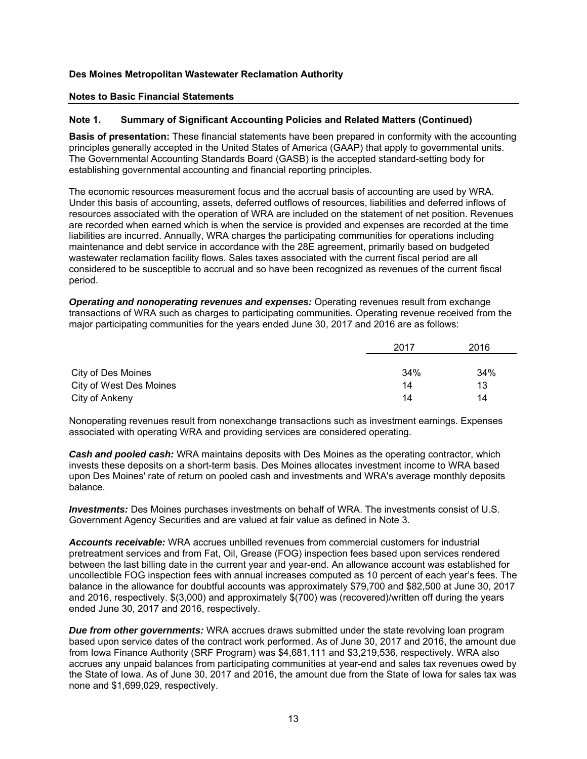### **Notes to Basic Financial Statements**

### **Note 1. Summary of Significant Accounting Policies and Related Matters (Continued)**

**Basis of presentation:** These financial statements have been prepared in conformity with the accounting principles generally accepted in the United States of America (GAAP) that apply to governmental units. The Governmental Accounting Standards Board (GASB) is the accepted standard-setting body for establishing governmental accounting and financial reporting principles.

The economic resources measurement focus and the accrual basis of accounting are used by WRA. Under this basis of accounting, assets, deferred outflows of resources, liabilities and deferred inflows of resources associated with the operation of WRA are included on the statement of net position. Revenues are recorded when earned which is when the service is provided and expenses are recorded at the time liabilities are incurred. Annually, WRA charges the participating communities for operations including maintenance and debt service in accordance with the 28E agreement, primarily based on budgeted wastewater reclamation facility flows. Sales taxes associated with the current fiscal period are all considered to be susceptible to accrual and so have been recognized as revenues of the current fiscal period.

*Operating and nonoperating revenues and expenses:* Operating revenues result from exchange transactions of WRA such as charges to participating communities. Operating revenue received from the major participating communities for the years ended June 30, 2017 and 2016 are as follows:

|                         | 2017 | 2016 |
|-------------------------|------|------|
|                         |      |      |
| City of Des Moines      | 34%  | 34%  |
| City of West Des Moines | 14   | 13   |
| City of Ankeny          | 14   | 14   |

Nonoperating revenues result from nonexchange transactions such as investment earnings. Expenses associated with operating WRA and providing services are considered operating.

*Cash and pooled cash:* WRA maintains deposits with Des Moines as the operating contractor, which invests these deposits on a short-term basis. Des Moines allocates investment income to WRA based upon Des Moines' rate of return on pooled cash and investments and WRA's average monthly deposits balance.

*Investments:* Des Moines purchases investments on behalf of WRA. The investments consist of U.S. Government Agency Securities and are valued at fair value as defined in Note 3.

*Accounts receivable:* WRA accrues unbilled revenues from commercial customers for industrial pretreatment services and from Fat, Oil, Grease (FOG) inspection fees based upon services rendered between the last billing date in the current year and year-end. An allowance account was established for uncollectible FOG inspection fees with annual increases computed as 10 percent of each year's fees. The balance in the allowance for doubtful accounts was approximately \$79,700 and \$82,500 at June 30, 2017 and 2016, respectively. \$(3,000) and approximately \$(700) was (recovered)/written off during the years ended June 30, 2017 and 2016, respectively.

*Due from other governments:* WRA accrues draws submitted under the state revolving loan program based upon service dates of the contract work performed. As of June 30, 2017 and 2016, the amount due from Iowa Finance Authority (SRF Program) was \$4,681,111 and \$3,219,536, respectively. WRA also accrues any unpaid balances from participating communities at year-end and sales tax revenues owed by the State of Iowa. As of June 30, 2017 and 2016, the amount due from the State of Iowa for sales tax was none and \$1,699,029, respectively.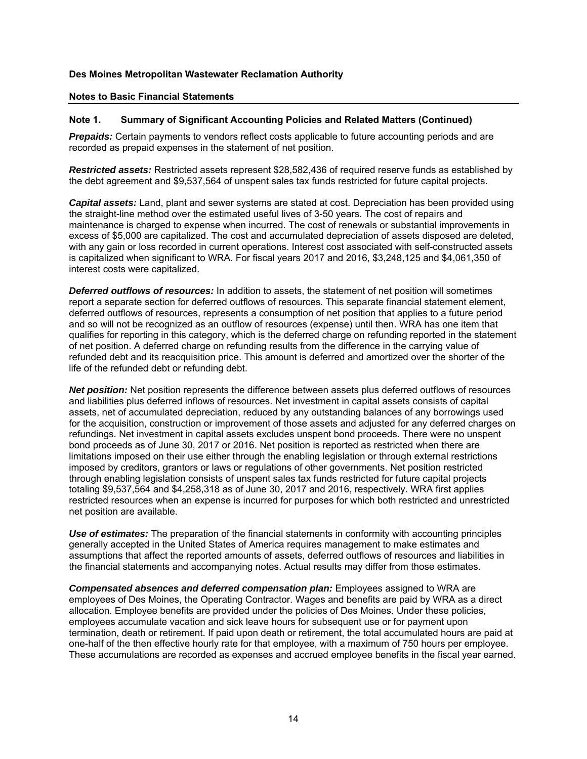#### **Notes to Basic Financial Statements**

### **Note 1. Summary of Significant Accounting Policies and Related Matters (Continued)**

*Prepaids:* Certain payments to vendors reflect costs applicable to future accounting periods and are recorded as prepaid expenses in the statement of net position.

*Restricted assets:* Restricted assets represent \$28,582,436 of required reserve funds as established by the debt agreement and \$9,537,564 of unspent sales tax funds restricted for future capital projects.

*Capital assets:* Land, plant and sewer systems are stated at cost. Depreciation has been provided using the straight-line method over the estimated useful lives of 3-50 years. The cost of repairs and maintenance is charged to expense when incurred. The cost of renewals or substantial improvements in excess of \$5,000 are capitalized. The cost and accumulated depreciation of assets disposed are deleted, with any gain or loss recorded in current operations. Interest cost associated with self-constructed assets is capitalized when significant to WRA. For fiscal years 2017 and 2016, \$3,248,125 and \$4,061,350 of interest costs were capitalized.

*Deferred outflows of resources:* In addition to assets, the statement of net position will sometimes report a separate section for deferred outflows of resources. This separate financial statement element, deferred outflows of resources, represents a consumption of net position that applies to a future period and so will not be recognized as an outflow of resources (expense) until then. WRA has one item that qualifies for reporting in this category, which is the deferred charge on refunding reported in the statement of net position. A deferred charge on refunding results from the difference in the carrying value of refunded debt and its reacquisition price. This amount is deferred and amortized over the shorter of the life of the refunded debt or refunding debt.

*Net position:* Net position represents the difference between assets plus deferred outflows of resources and liabilities plus deferred inflows of resources. Net investment in capital assets consists of capital assets, net of accumulated depreciation, reduced by any outstanding balances of any borrowings used for the acquisition, construction or improvement of those assets and adjusted for any deferred charges on refundings. Net investment in capital assets excludes unspent bond proceeds. There were no unspent bond proceeds as of June 30, 2017 or 2016. Net position is reported as restricted when there are limitations imposed on their use either through the enabling legislation or through external restrictions imposed by creditors, grantors or laws or regulations of other governments. Net position restricted through enabling legislation consists of unspent sales tax funds restricted for future capital projects totaling \$9,537,564 and \$4,258,318 as of June 30, 2017 and 2016, respectively. WRA first applies restricted resources when an expense is incurred for purposes for which both restricted and unrestricted net position are available.

*Use of estimates:* The preparation of the financial statements in conformity with accounting principles generally accepted in the United States of America requires management to make estimates and assumptions that affect the reported amounts of assets, deferred outflows of resources and liabilities in the financial statements and accompanying notes. Actual results may differ from those estimates.

*Compensated absences and deferred compensation plan:* Employees assigned to WRA are employees of Des Moines, the Operating Contractor. Wages and benefits are paid by WRA as a direct allocation. Employee benefits are provided under the policies of Des Moines. Under these policies, employees accumulate vacation and sick leave hours for subsequent use or for payment upon termination, death or retirement. If paid upon death or retirement, the total accumulated hours are paid at one-half of the then effective hourly rate for that employee, with a maximum of 750 hours per employee. These accumulations are recorded as expenses and accrued employee benefits in the fiscal year earned.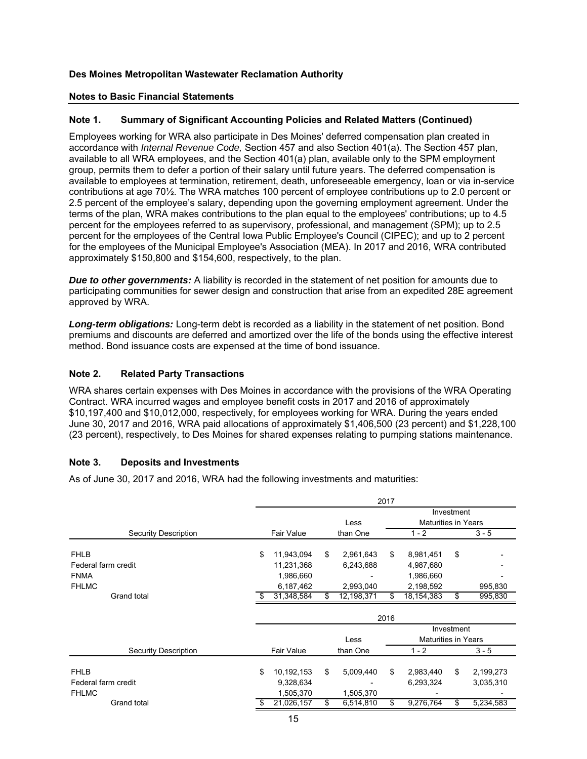## **Notes to Basic Financial Statements**

## **Note 1. Summary of Significant Accounting Policies and Related Matters (Continued)**

Employees working for WRA also participate in Des Moines' deferred compensation plan created in accordance with *Internal Revenue Code,* Section 457 and also Section 401(a). The Section 457 plan, available to all WRA employees, and the Section 401(a) plan, available only to the SPM employment group, permits them to defer a portion of their salary until future years. The deferred compensation is available to employees at termination, retirement, death, unforeseeable emergency, loan or via in-service contributions at age 70½. The WRA matches 100 percent of employee contributions up to 2.0 percent or 2.5 percent of the employee's salary, depending upon the governing employment agreement. Under the terms of the plan, WRA makes contributions to the plan equal to the employees' contributions; up to 4.5 percent for the employees referred to as supervisory, professional, and management (SPM); up to 2.5 percent for the employees of the Central Iowa Public Employee's Council (CIPEC); and up to 2 percent for the employees of the Municipal Employee's Association (MEA). In 2017 and 2016, WRA contributed approximately \$150,800 and \$154,600, respectively, to the plan.

*Due to other governments:* A liability is recorded in the statement of net position for amounts due to participating communities for sewer design and construction that arise from an expedited 28E agreement approved by WRA.

*Long-term obligations:* Long-term debt is recorded as a liability in the statement of net position. Bond premiums and discounts are deferred and amortized over the life of the bonds using the effective interest method. Bond issuance costs are expensed at the time of bond issuance.

## **Note 2. Related Party Transactions**

WRA shares certain expenses with Des Moines in accordance with the provisions of the WRA Operating Contract. WRA incurred wages and employee benefit costs in 2017 and 2016 of approximately \$10,197,400 and \$10,012,000, respectively, for employees working for WRA. During the years ended June 30, 2017 and 2016, WRA paid allocations of approximately \$1,406,500 (23 percent) and \$1,228,100 (23 percent), respectively, to Des Moines for shared expenses relating to pumping stations maintenance.

## **Note 3. Deposits and Investments**

As of June 30, 2017 and 2016, WRA had the following investments and maturities:

|                      | 2017 |                   |     |            |    |                            |            |           |
|----------------------|------|-------------------|-----|------------|----|----------------------------|------------|-----------|
|                      |      |                   |     | Less       |    | <b>Maturities in Years</b> | Investment |           |
| Security Description |      | <b>Fair Value</b> |     | than One   |    | $1 - 2$                    |            | $3 - 5$   |
| <b>FHLB</b>          | \$   | 11,943,094        | \$  | 2,961,643  | \$ | 8,981,451                  | \$         |           |
| Federal farm credit  |      | 11,231,368        |     | 6,243,688  |    | 4,987,680                  |            |           |
| <b>FNMA</b>          |      | 1,986,660         |     |            |    | 1,986,660                  |            |           |
| <b>FHLMC</b>         |      | 6,187,462         |     | 2,993,040  |    | 2,198,592                  |            | 995,830   |
| <b>Grand total</b>   |      | 31,348,584        | \$  | 12,198,371 | \$ | 18,154,383                 | \$         | 995,830   |
|                      | 2016 |                   |     |            |    |                            |            |           |
|                      |      |                   |     |            |    |                            | Investment |           |
|                      |      |                   |     | Less       |    | <b>Maturities in Years</b> |            |           |
| Security Description |      | <b>Fair Value</b> |     | than One   |    | $1 - 2$                    |            | $3 - 5$   |
| <b>FHLB</b>          | \$   | 10,192,153        | \$  | 5,009,440  | \$ | 2,983,440                  | \$         | 2,199,273 |
| Federal farm credit  |      | 9,328,634         |     |            |    | 6,293,324                  |            | 3,035,310 |
| <b>FHLMC</b>         |      | 1,505,370         |     | 1,505,370  |    |                            |            |           |
| Grand total          |      | 21,026,157        | \$. | 6,514,810  | \$ | 9,276,764                  | \$         | 5,234,583 |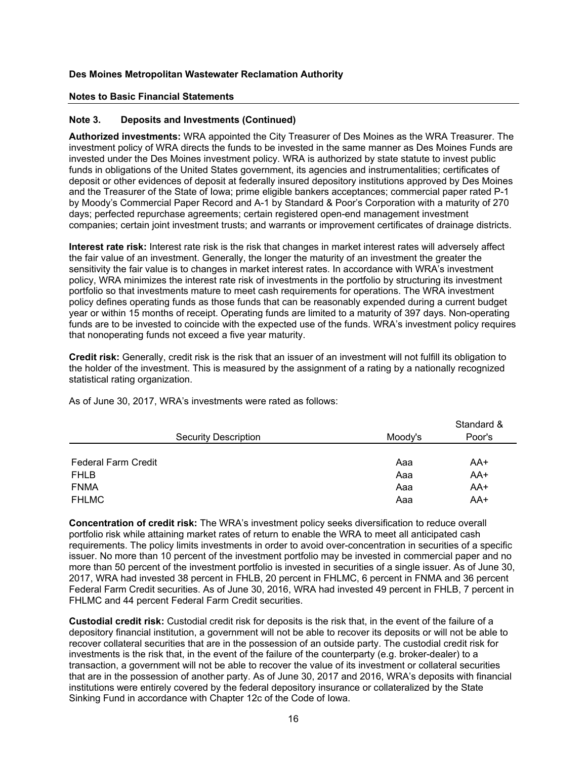### **Notes to Basic Financial Statements**

## **Note 3. Deposits and Investments (Continued)**

**Authorized investments:** WRA appointed the City Treasurer of Des Moines as the WRA Treasurer. The investment policy of WRA directs the funds to be invested in the same manner as Des Moines Funds are invested under the Des Moines investment policy. WRA is authorized by state statute to invest public funds in obligations of the United States government, its agencies and instrumentalities; certificates of deposit or other evidences of deposit at federally insured depository institutions approved by Des Moines and the Treasurer of the State of Iowa; prime eligible bankers acceptances; commercial paper rated P-1 by Moody's Commercial Paper Record and A-1 by Standard & Poor's Corporation with a maturity of 270 days; perfected repurchase agreements; certain registered open-end management investment companies; certain joint investment trusts; and warrants or improvement certificates of drainage districts.

**Interest rate risk:** Interest rate risk is the risk that changes in market interest rates will adversely affect the fair value of an investment. Generally, the longer the maturity of an investment the greater the sensitivity the fair value is to changes in market interest rates. In accordance with WRA's investment policy, WRA minimizes the interest rate risk of investments in the portfolio by structuring its investment portfolio so that investments mature to meet cash requirements for operations. The WRA investment policy defines operating funds as those funds that can be reasonably expended during a current budget year or within 15 months of receipt. Operating funds are limited to a maturity of 397 days. Non-operating funds are to be invested to coincide with the expected use of the funds. WRA's investment policy requires that nonoperating funds not exceed a five year maturity.

**Credit risk:** Generally, credit risk is the risk that an issuer of an investment will not fulfill its obligation to the holder of the investment. This is measured by the assignment of a rating by a nationally recognized statistical rating organization.

As of June 30, 2017, WRA's investments were rated as follows:

|                            |                      |         | Standard & |
|----------------------------|----------------------|---------|------------|
|                            | Security Description | Moody's | Poor's     |
|                            |                      |         |            |
| <b>Federal Farm Credit</b> |                      | Aaa     | AA+        |
| <b>FHLB</b>                |                      | Aaa     | AA+        |
| <b>FNMA</b>                |                      | Aaa     | AA+        |
| <b>FHLMC</b>               |                      | Aaa     | AA+        |

**Concentration of credit risk:** The WRA's investment policy seeks diversification to reduce overall portfolio risk while attaining market rates of return to enable the WRA to meet all anticipated cash requirements. The policy limits investments in order to avoid over-concentration in securities of a specific issuer. No more than 10 percent of the investment portfolio may be invested in commercial paper and no more than 50 percent of the investment portfolio is invested in securities of a single issuer. As of June 30, 2017, WRA had invested 38 percent in FHLB, 20 percent in FHLMC, 6 percent in FNMA and 36 percent Federal Farm Credit securities. As of June 30, 2016, WRA had invested 49 percent in FHLB, 7 percent in FHLMC and 44 percent Federal Farm Credit securities.

**Custodial credit risk:** Custodial credit risk for deposits is the risk that, in the event of the failure of a depository financial institution, a government will not be able to recover its deposits or will not be able to recover collateral securities that are in the possession of an outside party. The custodial credit risk for investments is the risk that, in the event of the failure of the counterparty (e.g. broker-dealer) to a transaction, a government will not be able to recover the value of its investment or collateral securities that are in the possession of another party. As of June 30, 2017 and 2016, WRA's deposits with financial institutions were entirely covered by the federal depository insurance or collateralized by the State Sinking Fund in accordance with Chapter 12c of the Code of Iowa.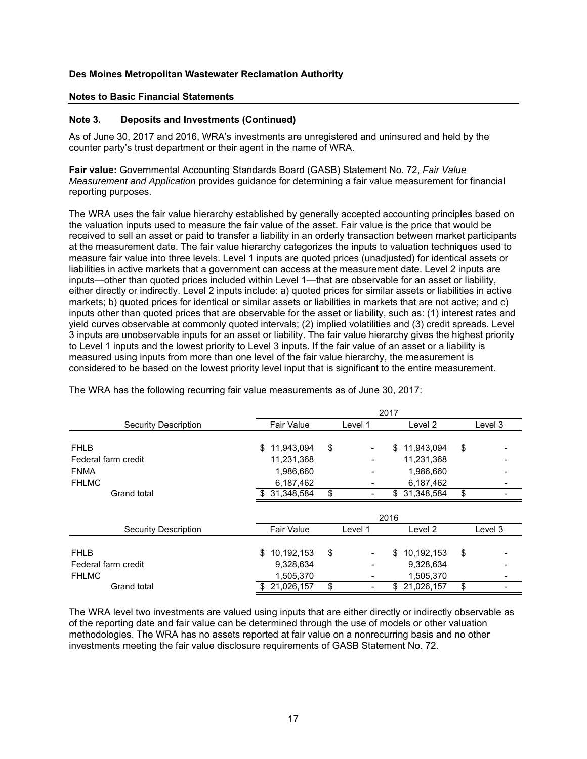#### **Notes to Basic Financial Statements**

## **Note 3. Deposits and Investments (Continued)**

As of June 30, 2017 and 2016, WRA's investments are unregistered and uninsured and held by the counter party's trust department or their agent in the name of WRA.

**Fair value:** Governmental Accounting Standards Board (GASB) Statement No. 72, *Fair Value Measurement and Application* provides guidance for determining a fair value measurement for financial reporting purposes.

The WRA uses the fair value hierarchy established by generally accepted accounting principles based on the valuation inputs used to measure the fair value of the asset. Fair value is the price that would be received to sell an asset or paid to transfer a liability in an orderly transaction between market participants at the measurement date. The fair value hierarchy categorizes the inputs to valuation techniques used to measure fair value into three levels. Level 1 inputs are quoted prices (unadjusted) for identical assets or liabilities in active markets that a government can access at the measurement date. Level 2 inputs are inputs—other than quoted prices included within Level 1—that are observable for an asset or liability, either directly or indirectly. Level 2 inputs include: a) quoted prices for similar assets or liabilities in active markets; b) quoted prices for identical or similar assets or liabilities in markets that are not active; and c) inputs other than quoted prices that are observable for the asset or liability, such as: (1) interest rates and yield curves observable at commonly quoted intervals; (2) implied volatilities and (3) credit spreads. Level 3 inputs are unobservable inputs for an asset or liability. The fair value hierarchy gives the highest priority to Level 1 inputs and the lowest priority to Level 3 inputs. If the fair value of an asset or a liability is measured using inputs from more than one level of the fair value hierarchy, the measurement is considered to be based on the lowest priority level input that is significant to the entire measurement.

|                             | 2017              |    |         |      |              |    |         |
|-----------------------------|-------------------|----|---------|------|--------------|----|---------|
| <b>Security Description</b> | <b>Fair Value</b> |    | Level 1 |      | Level 2      |    | Level 3 |
|                             |                   |    |         |      |              |    |         |
| <b>FHLB</b>                 | 11,943,094<br>\$  | \$ |         |      | \$11,943,094 | \$ |         |
| Federal farm credit         | 11,231,368        |    |         |      | 11,231,368   |    |         |
| <b>FNMA</b>                 | 1,986,660         |    |         |      | 1,986,660    |    |         |
| <b>FHLMC</b>                | 6,187,462         |    |         |      | 6,187,462    |    |         |
| Grand total                 | 31,348,584<br>-SS | \$ |         | \$   | 31,348,584   | \$ |         |
|                             |                   |    |         |      |              |    |         |
|                             |                   |    |         |      |              |    |         |
|                             |                   |    |         | 2016 |              |    |         |
| <b>Security Description</b> | <b>Fair Value</b> |    | Level 1 |      | Level 2      |    | Level 3 |
|                             |                   |    |         |      |              |    |         |
| <b>FHLB</b>                 | 10,192,153<br>\$  | \$ |         | \$   | 10,192,153   | \$ |         |
| Federal farm credit         | 9,328,634         |    |         |      | 9,328,634    |    |         |
| <b>FHLMC</b>                | 1,505,370         |    |         |      | 1,505,370    |    |         |

The WRA has the following recurring fair value measurements as of June 30, 2017:

The WRA level two investments are valued using inputs that are either directly or indirectly observable as of the reporting date and fair value can be determined through the use of models or other valuation methodologies. The WRA has no assets reported at fair value on a nonrecurring basis and no other investments meeting the fair value disclosure requirements of GASB Statement No. 72.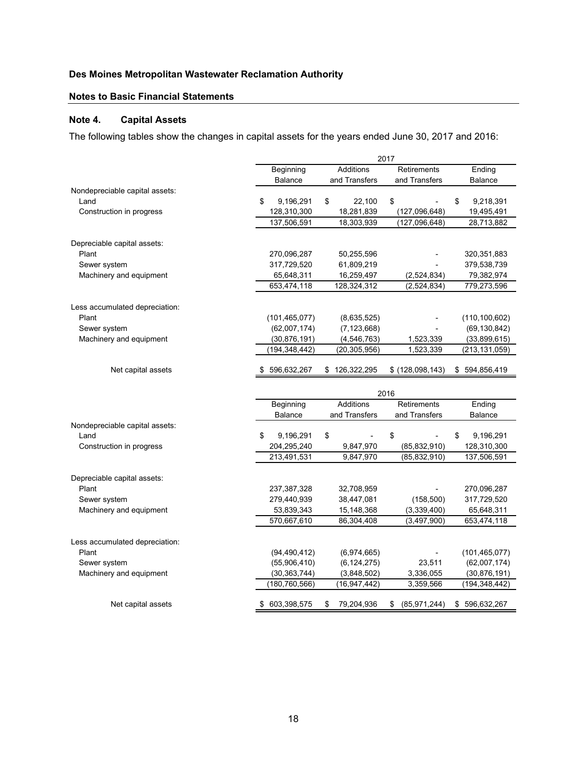## **Notes to Basic Financial Statements**

## **Note 4. Capital Assets**

The following tables show the changes in capital assets for the years ended June 30, 2017 and 2016:

|                                      |                            |                          | 2017                         |                            |
|--------------------------------------|----------------------------|--------------------------|------------------------------|----------------------------|
|                                      | Beginning                  | <b>Additions</b>         | <b>Retirements</b>           | Ending                     |
|                                      | <b>Balance</b>             | and Transfers            | and Transfers                | Balance                    |
| Nondepreciable capital assets:       |                            |                          |                              |                            |
| Land                                 | \$<br>9,196,291            | \$<br>22,100             | \$                           | \$<br>9,218,391            |
| Construction in progress             | 128,310,300                | 18,281,839               | (127,096,648)                | 19,495,491                 |
|                                      | 137,506,591                | 18,303,939               | (127,096,648)                | 28,713,882                 |
|                                      |                            |                          |                              |                            |
| Depreciable capital assets:          |                            |                          |                              |                            |
| Plant                                | 270,096,287                | 50,255,596               |                              | 320,351,883                |
| Sewer system                         | 317,729,520                | 61,809,219               |                              | 379,538,739                |
| Machinery and equipment              | 65,648,311                 | 16,259,497               | (2,524,834)                  | 79,382,974                 |
|                                      | 653,474,118                | 128,324,312              | (2,524,834)                  | 779,273,596                |
| Less accumulated depreciation:       |                            |                          |                              |                            |
| Plant                                | (101, 465, 077)            | (8,635,525)              |                              | (110, 100, 602)            |
| Sewer system                         | (62,007,174)               | (7, 123, 668)            |                              | (69, 130, 842)             |
| Machinery and equipment              | (30,876,191)               | (4,546,763)              | 1,523,339                    | (33,899,615)               |
|                                      | (194,348,442)              | (20,305,956)             | 1,523,339                    | (213,131,059)              |
|                                      |                            |                          |                              |                            |
| Net capital assets                   | 596,632,267                | \$126,322,295            | \$ (128,098,143)             | \$594,856,419              |
|                                      |                            |                          | 2016                         |                            |
|                                      | Beginning                  | <b>Additions</b>         | Retirements                  | Ending                     |
|                                      | <b>Balance</b>             | and Transfers            | and Transfers                | <b>Balance</b>             |
| Nondepreciable capital assets:       |                            |                          |                              |                            |
| Land                                 | \$<br>9,196,291            | \$                       | \$                           | \$<br>9,196,291            |
|                                      |                            |                          |                              |                            |
|                                      |                            |                          |                              |                            |
| Construction in progress             | 204,295,240                | 9,847,970                | (85, 832, 910)               | 128,310,300                |
|                                      | 213,491,531                | 9,847,970                | (85, 832, 910)               | 137,506,591                |
|                                      |                            |                          |                              |                            |
| Depreciable capital assets:<br>Plant |                            |                          |                              |                            |
|                                      | 237,387,328<br>279,440,939 | 32,708,959<br>38,447,081 | (158, 500)                   | 270,096,287<br>317,729,520 |
| Sewer system                         |                            |                          |                              |                            |
| Machinery and equipment              | 53,839,343<br>570,667,610  | 15,148,368<br>86,304,408 | (3,339,400)<br>(3, 497, 900) | 65,648,311<br>653,474,118  |
|                                      |                            |                          |                              |                            |
| Less accumulated depreciation:       |                            |                          |                              |                            |
| Plant                                | (94, 490, 412)             | (6,974,665)              |                              | (101, 465, 077)            |
| Sewer system                         | (55,906,410)               | (6, 124, 275)            | 23,511                       | (62,007,174)               |
| Machinery and equipment              | (30, 363, 744)             | (3,848,502)              | 3,336,055                    | (30, 876, 191)             |
|                                      | (180, 760, 566)            | (16,947,442)             | 3,359,566                    | (194,348,442)              |
| Net capital assets                   | 603,398,575<br>\$          | 79,204,936<br>\$         | (85, 971, 244)<br>\$         | \$596,632,267              |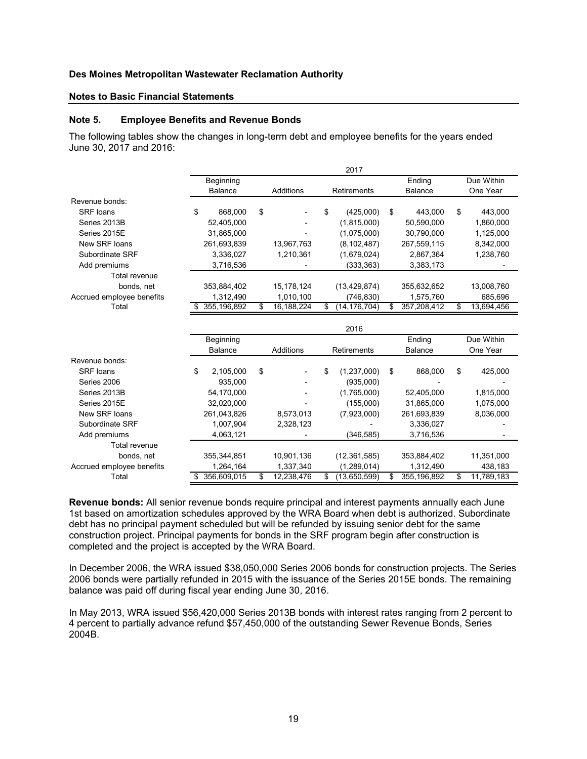#### **Notes to Basic Financial Statements**

#### **Note 5. Employee Benefits and Revenue Bonds**

The following tables show the changes in long-term debt and employee benefits for the years ended June 30, 2017 and 2016:

|                           |                |                |    |              |             | 2017           |    |                |            |            |  |
|---------------------------|----------------|----------------|----|--------------|-------------|----------------|----|----------------|------------|------------|--|
|                           | Beginning      |                |    |              | Ending      |                |    |                | Due Within |            |  |
|                           | <b>Balance</b> |                |    | Additions    | Retirements |                |    | <b>Balance</b> |            | One Year   |  |
| Revenue bonds:            |                |                |    |              |             |                |    |                |            |            |  |
| <b>SRF</b> loans          | \$             | 868.000        | \$ |              | \$          | (425,000)      | \$ | 443,000        | \$         | 443,000    |  |
| Series 2013B              |                | 52,405,000     |    |              |             | (1,815,000)    |    | 50,590,000     |            | 1,860,000  |  |
| Series 2015E              |                | 31,865,000     |    |              |             | (1,075,000)    |    | 30,790,000     |            | 1,125,000  |  |
| New SRF loans             |                | 261,693,839    |    | 13,967,763   |             | (8, 102, 487)  |    | 267,559,115    |            | 8,342,000  |  |
| Subordinate SRF           |                | 3,336,027      |    | 1,210,361    |             | (1,679,024)    |    | 2,867,364      |            | 1,238,760  |  |
| Add premiums              |                | 3,716,536      |    |              |             | (333, 363)     |    | 3,383,173      |            |            |  |
| Total revenue             |                |                |    |              |             |                |    |                |            |            |  |
| bonds, net                |                | 353,884,402    |    | 15, 178, 124 |             | (13, 429, 874) |    | 355,632,652    |            | 13,008,760 |  |
| Accrued employee benefits |                | 1,312,490      |    | 1,010,100    |             | (746, 830)     |    | 1,575,760      |            | 685,696    |  |
| Total                     |                | 355,196,892    | \$ | 16,188,224   | \$          | (14, 176, 704) | \$ | 357,208,412    | \$         | 13,694,456 |  |
|                           |                |                |    |              |             |                |    |                |            |            |  |
|                           |                |                |    |              |             | 2016           |    |                |            |            |  |
|                           |                | Beginning      |    |              |             |                |    | Ending         |            | Due Within |  |
|                           |                | <b>Balance</b> |    | Additions    | Retirements |                |    | <b>Balance</b> | One Year   |            |  |
| Revenue bonds:            |                |                |    |              |             |                |    |                |            |            |  |
| SRF loans                 | \$             | 2,105,000      | \$ |              | \$          | (1,237,000)    | \$ | 868,000        | \$         | 425,000    |  |
| Series 2006               |                | 935,000        |    |              |             | (935,000)      |    |                |            |            |  |
| Series 2013B              |                | 54,170,000     |    |              |             | (1,765,000)    |    | 52,405,000     |            | 1,815,000  |  |
| Series 2015E              |                | 32,020,000     |    |              |             | (155,000)      |    | 31,865,000     |            | 1,075,000  |  |
| New SRF loans             |                | 261,043,826    |    | 8,573,013    |             | (7,923,000)    |    | 261,693,839    |            | 8,036,000  |  |
| Subordinate SRF           |                | 1,007,904      |    | 2,328,123    |             |                |    | 3,336,027      |            |            |  |
| Add premiums              |                | 4,063,121      |    |              |             | (346, 585)     |    | 3,716,536      |            |            |  |
| Total revenue             |                |                |    |              |             |                |    |                |            |            |  |
| bonds, net                |                | 355,344,851    |    | 10,901,136   |             | (12, 361, 585) |    | 353,884,402    |            | 11,351,000 |  |
| Accrued employee benefits |                | 1,264,164      |    | 1,337,340    |             | (1,289,014)    |    | 1,312,490      |            | 438,183    |  |
| Total                     |                | \$ 356,609,015 | \$ | 12,238,476   | \$          | (13,650,599)   | \$ | 355,196,892    | \$         | 11,789,183 |  |

**Revenue bonds:** All senior revenue bonds require principal and interest payments annually each June 1st based on amortization schedules approved by the WRA Board when debt is authorized. Subordinate debt has no principal payment scheduled but will be refunded by issuing senior debt for the same construction project. Principal payments for bonds in the SRF program begin after construction is completed and the project is accepted by the WRA Board.

In December 2006, the WRA issued \$38,050,000 Series 2006 bonds for construction projects. The Series 2006 bonds were partially refunded in 2015 with the issuance of the Series 2015E bonds. The remaining balance was paid off during fiscal year ending June 30, 2016.

In May 2013, WRA issued \$56,420,000 Series 2013B bonds with interest rates ranging from 2 percent to 4 percent to partially advance refund \$57,450,000 of the outstanding Sewer Revenue Bonds, Series 2004B.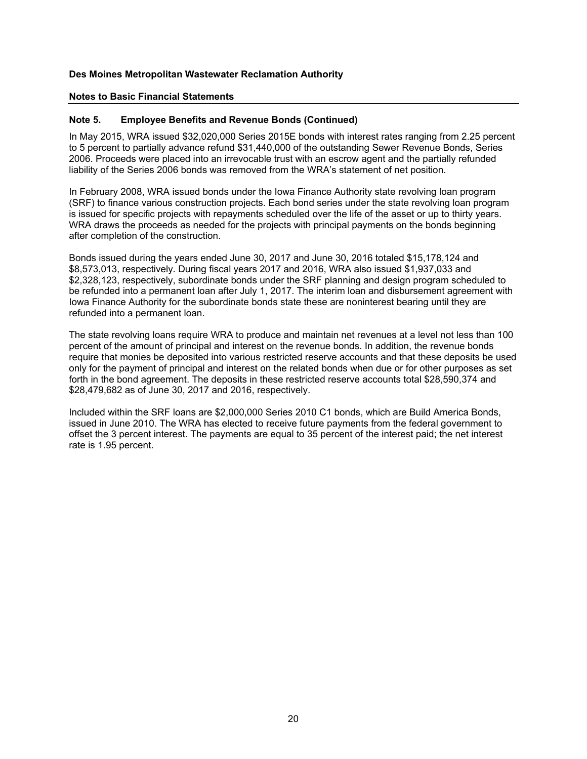### **Notes to Basic Financial Statements**

## **Note 5. Employee Benefits and Revenue Bonds (Continued)**

In May 2015, WRA issued \$32,020,000 Series 2015E bonds with interest rates ranging from 2.25 percent to 5 percent to partially advance refund \$31,440,000 of the outstanding Sewer Revenue Bonds, Series 2006. Proceeds were placed into an irrevocable trust with an escrow agent and the partially refunded liability of the Series 2006 bonds was removed from the WRA's statement of net position.

In February 2008, WRA issued bonds under the Iowa Finance Authority state revolving loan program (SRF) to finance various construction projects. Each bond series under the state revolving loan program is issued for specific projects with repayments scheduled over the life of the asset or up to thirty years. WRA draws the proceeds as needed for the projects with principal payments on the bonds beginning after completion of the construction.

Bonds issued during the years ended June 30, 2017 and June 30, 2016 totaled \$15,178,124 and \$8,573,013, respectively. During fiscal years 2017 and 2016, WRA also issued \$1,937,033 and \$2,328,123, respectively, subordinate bonds under the SRF planning and design program scheduled to be refunded into a permanent loan after July 1, 2017. The interim loan and disbursement agreement with Iowa Finance Authority for the subordinate bonds state these are noninterest bearing until they are refunded into a permanent loan.

The state revolving loans require WRA to produce and maintain net revenues at a level not less than 100 percent of the amount of principal and interest on the revenue bonds. In addition, the revenue bonds require that monies be deposited into various restricted reserve accounts and that these deposits be used only for the payment of principal and interest on the related bonds when due or for other purposes as set forth in the bond agreement. The deposits in these restricted reserve accounts total \$28,590,374 and \$28,479,682 as of June 30, 2017 and 2016, respectively.

Included within the SRF loans are \$2,000,000 Series 2010 C1 bonds, which are Build America Bonds, issued in June 2010. The WRA has elected to receive future payments from the federal government to offset the 3 percent interest. The payments are equal to 35 percent of the interest paid; the net interest rate is 1.95 percent.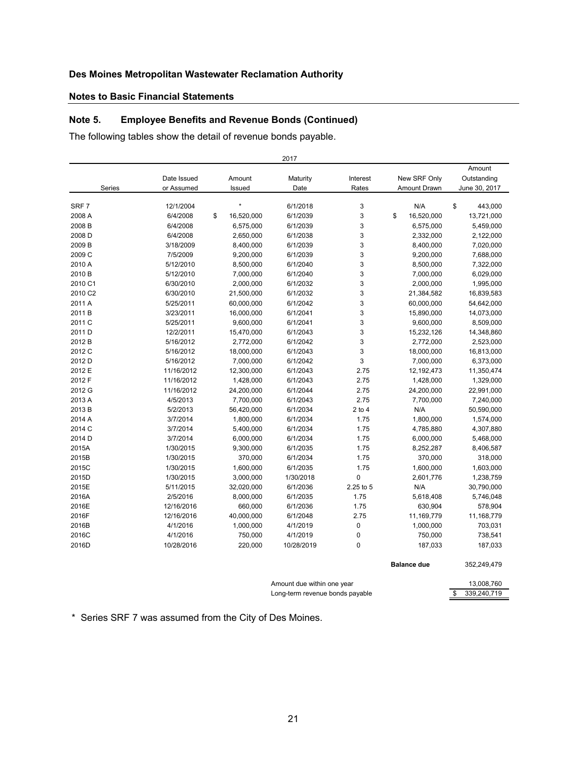## **Notes to Basic Financial Statements**

## **Note 5. Employee Benefits and Revenue Bonds (Continued)**

The following tables show the detail of revenue bonds payable.

|                   |                           |                  | 2017             |                   |                                     |                                        |
|-------------------|---------------------------|------------------|------------------|-------------------|-------------------------------------|----------------------------------------|
| Series            | Date Issued<br>or Assumed | Amount<br>Issued | Maturity<br>Date | Interest<br>Rates | New SRF Only<br><b>Amount Drawn</b> | Amount<br>Outstanding<br>June 30, 2017 |
| SRF <sub>7</sub>  | 12/1/2004                 | $\star$          | 6/1/2018         | 3                 | N/A                                 | \$<br>443,000                          |
| 2008 A            | 6/4/2008                  | \$<br>16,520,000 | 6/1/2039         | 3                 | \$<br>16,520,000                    | 13,721,000                             |
| 2008 <sub>B</sub> | 6/4/2008                  | 6,575,000        | 6/1/2039         | 3                 | 6,575,000                           | 5,459,000                              |
| 2008 D            | 6/4/2008                  | 2,650,000        | 6/1/2038         | 3                 | 2,332,000                           | 2,122,000                              |
| 2009 B            | 3/18/2009                 | 8,400,000        | 6/1/2039         | 3                 | 8,400,000                           | 7,020,000                              |
| 2009 C            | 7/5/2009                  | 9,200,000        | 6/1/2039         | 3                 | 9,200,000                           | 7,688,000                              |
| 2010 A            | 5/12/2010                 | 8,500,000        | 6/1/2040         | 3                 | 8,500,000                           | 7,322,000                              |
| 2010 B            | 5/12/2010                 | 7,000,000        | 6/1/2040         | 3                 | 7,000,000                           | 6,029,000                              |
| 2010 C1           | 6/30/2010                 | 2,000,000        | 6/1/2032         | 3                 | 2,000,000                           | 1,995,000                              |
| 2010 C2           | 6/30/2010                 | 21,500,000       | 6/1/2032         | 3                 | 21,384,582                          | 16,839,583                             |
| 2011 A            | 5/25/2011                 | 60,000,000       | 6/1/2042         | 3                 | 60,000,000                          | 54,642,000                             |
| 2011 B            | 3/23/2011                 | 16,000,000       | 6/1/2041         | 3                 | 15,890,000                          | 14,073,000                             |
| 2011 C            | 5/25/2011                 | 9,600,000        | 6/1/2041         | 3                 | 9,600,000                           | 8,509,000                              |
| 2011 D            | 12/2/2011                 | 15,470,000       | 6/1/2043         | 3                 | 15,232,126                          | 14,348,860                             |
| 2012 B            | 5/16/2012                 | 2,772,000        | 6/1/2042         | 3                 | 2,772,000                           | 2,523,000                              |
| 2012 C            | 5/16/2012                 | 18,000,000       | 6/1/2043         | 3                 | 18,000,000                          | 16,813,000                             |
| 2012 D            | 5/16/2012                 | 7,000,000        | 6/1/2042         | 3                 | 7,000,000                           | 6,373,000                              |
| 2012 E            | 11/16/2012                | 12,300,000       | 6/1/2043         | 2.75              | 12,192,473                          | 11,350,474                             |
| 2012 F            | 11/16/2012                | 1,428,000        | 6/1/2043         | 2.75              | 1,428,000                           | 1,329,000                              |
| 2012 G            | 11/16/2012                | 24,200,000       | 6/1/2044         | 2.75              | 24,200,000                          | 22,991,000                             |
| 2013 A            | 4/5/2013                  | 7,700,000        | 6/1/2043         | 2.75              | 7,700,000                           | 7,240,000                              |
| 2013 B            | 5/2/2013                  | 56,420,000       | 6/1/2034         | $2$ to $4$        | N/A                                 | 50,590,000                             |
| 2014 A            | 3/7/2014                  | 1,800,000        | 6/1/2034         | 1.75              | 1,800,000                           | 1,574,000                              |
| 2014 C            | 3/7/2014                  | 5,400,000        | 6/1/2034         | 1.75              | 4,785,880                           | 4,307,880                              |
| 2014 D            | 3/7/2014                  | 6,000,000        | 6/1/2034         | 1.75              | 6,000,000                           | 5,468,000                              |
| 2015A             | 1/30/2015                 | 9,300,000        | 6/1/2035         | 1.75              | 8,252,287                           | 8,406,587                              |
| 2015B             | 1/30/2015                 | 370,000          | 6/1/2034         | 1.75              | 370,000                             | 318,000                                |
| 2015C             | 1/30/2015                 | 1,600,000        | 6/1/2035         | 1.75              | 1,600,000                           | 1,603,000                              |
| 2015D             | 1/30/2015                 | 3,000,000        | 1/30/2018        | $\mathbf 0$       | 2,601,776                           | 1,238,759                              |
| 2015E             | 5/11/2015                 | 32,020,000       | 6/1/2036         | 2.25 to 5         | N/A                                 | 30,790,000                             |
| 2016A             | 2/5/2016                  | 8,000,000        | 6/1/2035         | 1.75              | 5,618,408                           | 5,746,048                              |
| 2016E             | 12/16/2016                | 660,000          | 6/1/2036         | 1.75              | 630,904                             | 578,904                                |
| 2016F             | 12/16/2016                | 40,000,000       | 6/1/2048         | 2.75              | 11,169,779                          | 11,168,779                             |
| 2016B             | 4/1/2016                  | 1,000,000        | 4/1/2019         | $\mathbf 0$       | 1,000,000                           | 703,031                                |
| 2016C             | 4/1/2016                  | 750,000          | 4/1/2019         | 0                 | 750,000                             | 738,541                                |
| 2016D             | 10/28/2016                | 220,000          | 10/28/2019       | $\mathbf 0$       | 187,033                             | 187,033                                |
|                   |                           |                  |                  |                   | <b>Balance due</b>                  | 352,249,479                            |

| Amount due within one year      | 13.008.760     |
|---------------------------------|----------------|
| Long-term revenue bonds payable | \$ 339,240,719 |

\* Series SRF 7 was assumed from the City of Des Moines.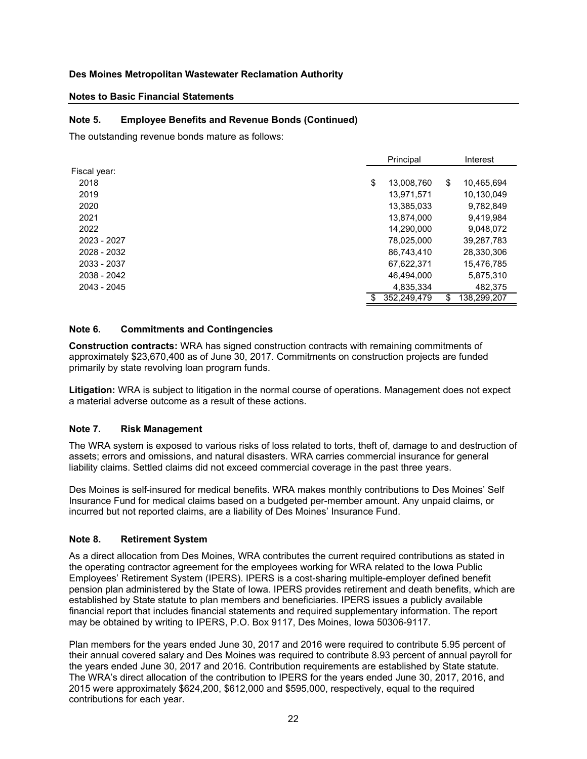## **Notes to Basic Financial Statements**

## **Note 5. Employee Benefits and Revenue Bonds (Continued)**

The outstanding revenue bonds mature as follows:

|              |                  | Principal<br>Interest |             |  |
|--------------|------------------|-----------------------|-------------|--|
| Fiscal year: |                  |                       |             |  |
| 2018         | \$               | \$<br>13,008,760      | 10,465,694  |  |
| 2019         |                  | 13.971.571            | 10.130.049  |  |
| 2020         |                  | 13,385,033            | 9,782,849   |  |
| 2021         |                  | 13,874,000            | 9,419,984   |  |
| 2022         |                  | 14,290,000            | 9,048,072   |  |
| 2023 - 2027  |                  | 78,025,000            | 39,287,783  |  |
| 2028 - 2032  |                  | 86,743,410            | 28,330,306  |  |
| 2033 - 2037  |                  | 67,622,371            | 15,476,785  |  |
| 2038 - 2042  |                  | 46,494,000            | 5,875,310   |  |
| 2043 - 2045  |                  | 4.835.334             | 482,375     |  |
|              | 352.249.479<br>S | \$                    | 138.299.207 |  |

## **Note 6. Commitments and Contingencies**

**Construction contracts:** WRA has signed construction contracts with remaining commitments of approximately \$23,670,400 as of June 30, 2017. Commitments on construction projects are funded primarily by state revolving loan program funds.

**Litigation:** WRA is subject to litigation in the normal course of operations. Management does not expect a material adverse outcome as a result of these actions.

## **Note 7. Risk Management**

The WRA system is exposed to various risks of loss related to torts, theft of, damage to and destruction of assets; errors and omissions, and natural disasters. WRA carries commercial insurance for general liability claims. Settled claims did not exceed commercial coverage in the past three years.

Des Moines is self-insured for medical benefits. WRA makes monthly contributions to Des Moines' Self Insurance Fund for medical claims based on a budgeted per-member amount. Any unpaid claims, or incurred but not reported claims, are a liability of Des Moines' Insurance Fund.

## **Note 8. Retirement System**

As a direct allocation from Des Moines, WRA contributes the current required contributions as stated in the operating contractor agreement for the employees working for WRA related to the Iowa Public Employees' Retirement System (IPERS). IPERS is a cost-sharing multiple-employer defined benefit pension plan administered by the State of Iowa. IPERS provides retirement and death benefits, which are established by State statute to plan members and beneficiaries. IPERS issues a publicly available financial report that includes financial statements and required supplementary information. The report may be obtained by writing to IPERS, P.O. Box 9117, Des Moines, Iowa 50306-9117.

Plan members for the years ended June 30, 2017 and 2016 were required to contribute 5.95 percent of their annual covered salary and Des Moines was required to contribute 8.93 percent of annual payroll for the years ended June 30, 2017 and 2016. Contribution requirements are established by State statute. The WRA's direct allocation of the contribution to IPERS for the years ended June 30, 2017, 2016, and 2015 were approximately \$624,200, \$612,000 and \$595,000, respectively, equal to the required contributions for each year.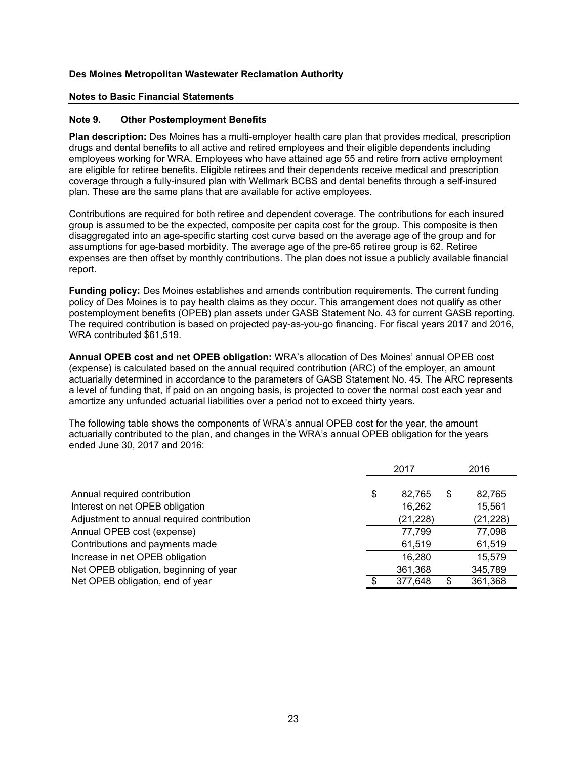### **Notes to Basic Financial Statements**

### **Note 9. Other Postemployment Benefits**

**Plan description:** Des Moines has a multi-employer health care plan that provides medical, prescription drugs and dental benefits to all active and retired employees and their eligible dependents including employees working for WRA. Employees who have attained age 55 and retire from active employment are eligible for retiree benefits. Eligible retirees and their dependents receive medical and prescription coverage through a fully-insured plan with Wellmark BCBS and dental benefits through a self-insured plan. These are the same plans that are available for active employees.

Contributions are required for both retiree and dependent coverage. The contributions for each insured group is assumed to be the expected, composite per capita cost for the group. This composite is then disaggregated into an age-specific starting cost curve based on the average age of the group and for assumptions for age-based morbidity. The average age of the pre-65 retiree group is 62. Retiree expenses are then offset by monthly contributions. The plan does not issue a publicly available financial report.

**Funding policy:** Des Moines establishes and amends contribution requirements. The current funding policy of Des Moines is to pay health claims as they occur. This arrangement does not qualify as other postemployment benefits (OPEB) plan assets under GASB Statement No. 43 for current GASB reporting. The required contribution is based on projected pay-as-you-go financing. For fiscal years 2017 and 2016, WRA contributed \$61,519.

**Annual OPEB cost and net OPEB obligation:** WRA's allocation of Des Moines' annual OPEB cost (expense) is calculated based on the annual required contribution (ARC) of the employer, an amount actuarially determined in accordance to the parameters of GASB Statement No. 45. The ARC represents a level of funding that, if paid on an ongoing basis, is projected to cover the normal cost each year and amortize any unfunded actuarial liabilities over a period not to exceed thirty years.

The following table shows the components of WRA's annual OPEB cost for the year, the amount actuarially contributed to the plan, and changes in the WRA's annual OPEB obligation for the years ended June 30, 2017 and 2016:

|                                            | 2017         | 2016 |           |  |
|--------------------------------------------|--------------|------|-----------|--|
|                                            |              |      |           |  |
| Annual required contribution               | \$<br>82.765 | \$   | 82,765    |  |
| Interest on net OPEB obligation            | 16,262       |      | 15,561    |  |
| Adjustment to annual required contribution | (21, 228)    |      | (21, 228) |  |
| Annual OPEB cost (expense)                 | 77.799       |      | 77,098    |  |
| Contributions and payments made            | 61,519       |      | 61,519    |  |
| Increase in net OPEB obligation            | 16,280       |      | 15,579    |  |
| Net OPEB obligation, beginning of year     | 361,368      |      | 345,789   |  |
| Net OPEB obligation, end of year           | 377,648      |      | 361,368   |  |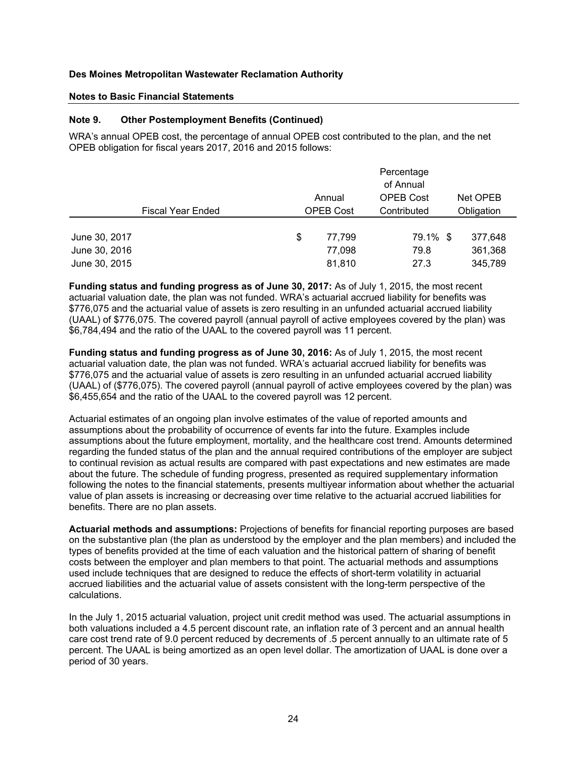#### **Notes to Basic Financial Statements**

## **Note 9. Other Postemployment Benefits (Continued)**

WRA's annual OPEB cost, the percentage of annual OPEB cost contributed to the plan, and the net OPEB obligation for fiscal years 2017, 2016 and 2015 follows:

|                                                 | <b>Fiscal Year Ended</b> | Annual<br><b>OPEB Cost</b>       | Percentage<br>of Annual<br><b>OPEB Cost</b><br>Contributed | Net OPEB<br>Obligation        |  |  |
|-------------------------------------------------|--------------------------|----------------------------------|------------------------------------------------------------|-------------------------------|--|--|
| June 30, 2017<br>June 30, 2016<br>June 30, 2015 |                          | \$<br>77.799<br>77.098<br>81,810 | 79.1% \$<br>79.8<br>27.3                                   | 377,648<br>361,368<br>345,789 |  |  |

**Funding status and funding progress as of June 30, 2017:** As of July 1, 2015, the most recent actuarial valuation date, the plan was not funded. WRA's actuarial accrued liability for benefits was \$776,075 and the actuarial value of assets is zero resulting in an unfunded actuarial accrued liability (UAAL) of \$776,075. The covered payroll (annual payroll of active employees covered by the plan) was \$6,784,494 and the ratio of the UAAL to the covered payroll was 11 percent.

**Funding status and funding progress as of June 30, 2016:** As of July 1, 2015, the most recent actuarial valuation date, the plan was not funded. WRA's actuarial accrued liability for benefits was \$776,075 and the actuarial value of assets is zero resulting in an unfunded actuarial accrued liability (UAAL) of (\$776,075). The covered payroll (annual payroll of active employees covered by the plan) was \$6,455,654 and the ratio of the UAAL to the covered payroll was 12 percent.

Actuarial estimates of an ongoing plan involve estimates of the value of reported amounts and assumptions about the probability of occurrence of events far into the future. Examples include assumptions about the future employment, mortality, and the healthcare cost trend. Amounts determined regarding the funded status of the plan and the annual required contributions of the employer are subject to continual revision as actual results are compared with past expectations and new estimates are made about the future. The schedule of funding progress, presented as required supplementary information following the notes to the financial statements, presents multiyear information about whether the actuarial value of plan assets is increasing or decreasing over time relative to the actuarial accrued liabilities for benefits. There are no plan assets.

**Actuarial methods and assumptions:** Projections of benefits for financial reporting purposes are based on the substantive plan (the plan as understood by the employer and the plan members) and included the types of benefits provided at the time of each valuation and the historical pattern of sharing of benefit costs between the employer and plan members to that point. The actuarial methods and assumptions used include techniques that are designed to reduce the effects of short-term volatility in actuarial accrued liabilities and the actuarial value of assets consistent with the long-term perspective of the calculations.

In the July 1, 2015 actuarial valuation, project unit credit method was used. The actuarial assumptions in both valuations included a 4.5 percent discount rate, an inflation rate of 3 percent and an annual health care cost trend rate of 9.0 percent reduced by decrements of .5 percent annually to an ultimate rate of 5 percent. The UAAL is being amortized as an open level dollar. The amortization of UAAL is done over a period of 30 years.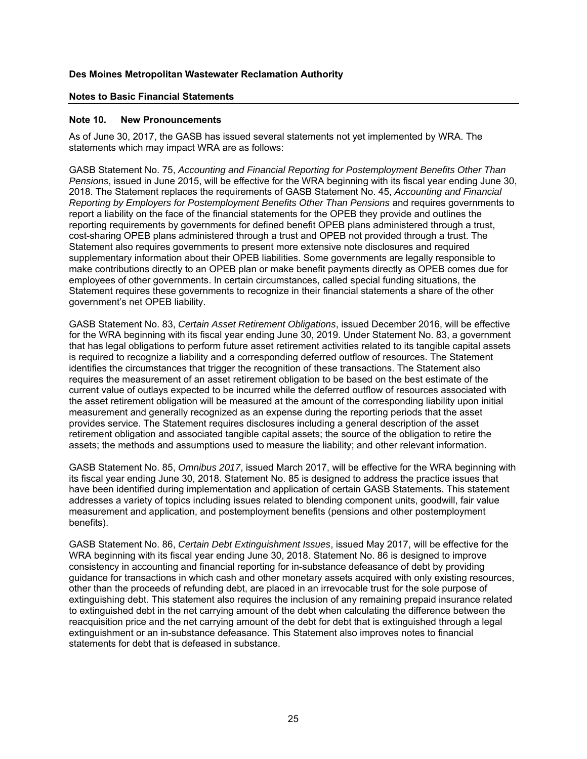## **Notes to Basic Financial Statements**

#### **Note 10. New Pronouncements**

As of June 30, 2017, the GASB has issued several statements not yet implemented by WRA. The statements which may impact WRA are as follows:

GASB Statement No. 75, *Accounting and Financial Reporting for Postemployment Benefits Other Than Pensions*, issued in June 2015, will be effective for the WRA beginning with its fiscal year ending June 30, 2018. The Statement replaces the requirements of GASB Statement No. 45, *Accounting and Financial Reporting by Employers for Postemployment Benefits Other Than Pensions* and requires governments to report a liability on the face of the financial statements for the OPEB they provide and outlines the reporting requirements by governments for defined benefit OPEB plans administered through a trust, cost-sharing OPEB plans administered through a trust and OPEB not provided through a trust. The Statement also requires governments to present more extensive note disclosures and required supplementary information about their OPEB liabilities. Some governments are legally responsible to make contributions directly to an OPEB plan or make benefit payments directly as OPEB comes due for employees of other governments. In certain circumstances, called special funding situations, the Statement requires these governments to recognize in their financial statements a share of the other government's net OPEB liability.

GASB Statement No. 83, *Certain Asset Retirement Obligations*, issued December 2016, will be effective for the WRA beginning with its fiscal year ending June 30, 2019. Under Statement No. 83, a government that has legal obligations to perform future asset retirement activities related to its tangible capital assets is required to recognize a liability and a corresponding deferred outflow of resources. The Statement identifies the circumstances that trigger the recognition of these transactions. The Statement also requires the measurement of an asset retirement obligation to be based on the best estimate of the current value of outlays expected to be incurred while the deferred outflow of resources associated with the asset retirement obligation will be measured at the amount of the corresponding liability upon initial measurement and generally recognized as an expense during the reporting periods that the asset provides service. The Statement requires disclosures including a general description of the asset retirement obligation and associated tangible capital assets; the source of the obligation to retire the assets; the methods and assumptions used to measure the liability; and other relevant information.

GASB Statement No. 85, *Omnibus 2017*, issued March 2017, will be effective for the WRA beginning with its fiscal year ending June 30, 2018. Statement No. 85 is designed to address the practice issues that have been identified during implementation and application of certain GASB Statements. This statement addresses a variety of topics including issues related to blending component units, goodwill, fair value measurement and application, and postemployment benefits (pensions and other postemployment benefits).

GASB Statement No. 86, *Certain Debt Extinguishment Issues*, issued May 2017, will be effective for the WRA beginning with its fiscal year ending June 30, 2018. Statement No. 86 is designed to improve consistency in accounting and financial reporting for in-substance defeasance of debt by providing guidance for transactions in which cash and other monetary assets acquired with only existing resources, other than the proceeds of refunding debt, are placed in an irrevocable trust for the sole purpose of extinguishing debt. This statement also requires the inclusion of any remaining prepaid insurance related to extinguished debt in the net carrying amount of the debt when calculating the difference between the reacquisition price and the net carrying amount of the debt for debt that is extinguished through a legal extinguishment or an in-substance defeasance. This Statement also improves notes to financial statements for debt that is defeased in substance.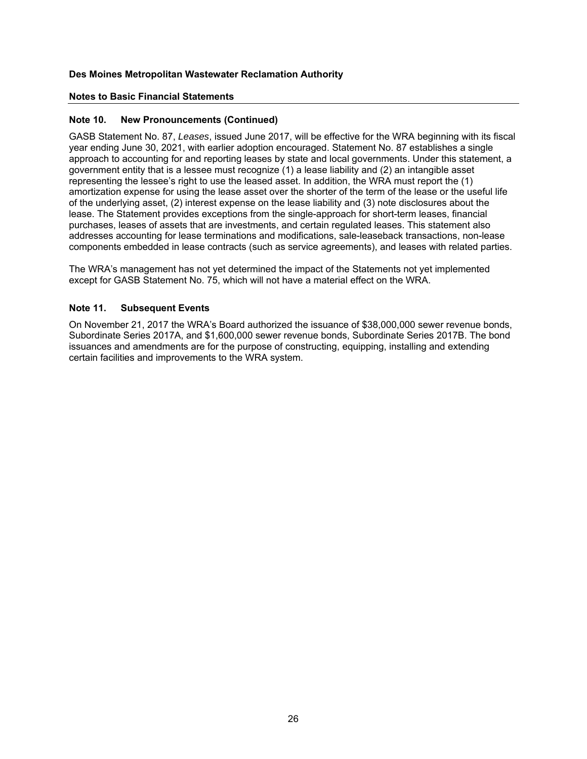## **Notes to Basic Financial Statements**

### **Note 10. New Pronouncements (Continued)**

GASB Statement No. 87, *Leases*, issued June 2017, will be effective for the WRA beginning with its fiscal year ending June 30, 2021, with earlier adoption encouraged. Statement No. 87 establishes a single approach to accounting for and reporting leases by state and local governments. Under this statement, a government entity that is a lessee must recognize (1) a lease liability and (2) an intangible asset representing the lessee's right to use the leased asset. In addition, the WRA must report the (1) amortization expense for using the lease asset over the shorter of the term of the lease or the useful life of the underlying asset, (2) interest expense on the lease liability and (3) note disclosures about the lease. The Statement provides exceptions from the single-approach for short-term leases, financial purchases, leases of assets that are investments, and certain regulated leases. This statement also addresses accounting for lease terminations and modifications, sale-leaseback transactions, non-lease components embedded in lease contracts (such as service agreements), and leases with related parties.

The WRA's management has not yet determined the impact of the Statements not yet implemented except for GASB Statement No. 75, which will not have a material effect on the WRA.

## **Note 11. Subsequent Events**

On November 21, 2017 the WRA's Board authorized the issuance of \$38,000,000 sewer revenue bonds, Subordinate Series 2017A, and \$1,600,000 sewer revenue bonds, Subordinate Series 2017B. The bond issuances and amendments are for the purpose of constructing, equipping, installing and extending certain facilities and improvements to the WRA system.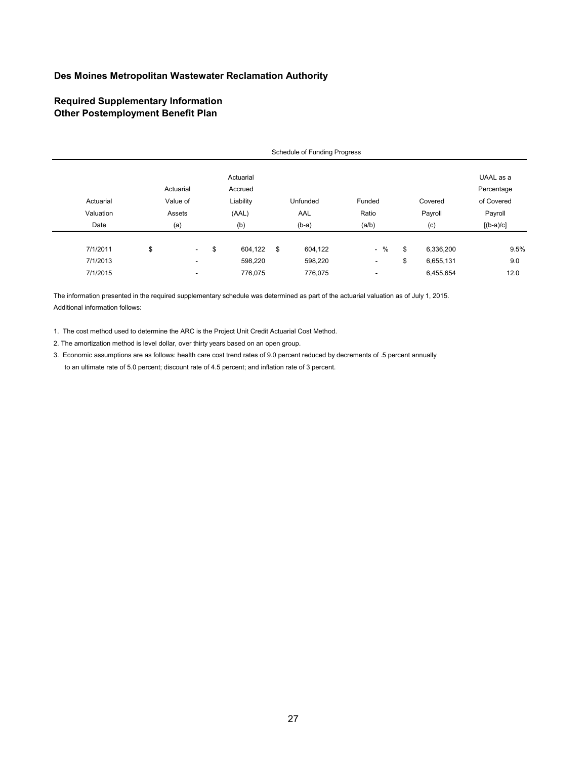## **Required Supplementary Information Other Postemployment Benefit Plan**

|           | Schedule of Funding Progress |                          |       |                      |    |          |                          |       |    |           |                         |
|-----------|------------------------------|--------------------------|-------|----------------------|----|----------|--------------------------|-------|----|-----------|-------------------------|
|           |                              | Actuarial                |       | Actuarial<br>Accrued |    |          |                          |       |    |           | UAAL as a<br>Percentage |
| Actuarial |                              | Value of                 |       | Liability            |    | Unfunded | Funded                   |       |    | Covered   | of Covered              |
| Valuation |                              | Assets                   | (AAL) |                      |    | AAL      | Ratio                    |       |    | Payroll   | Payroll                 |
| Date      |                              | (a)                      |       | (b)                  |    | $(b-a)$  | (a/b)                    |       |    | (c)       | $[(b-a)/c]$             |
| 7/1/2011  | \$                           | $\sim$                   | \$    | 604,122              | \$ | 604,122  |                          | $-$ % | \$ | 6,336,200 | 9.5%                    |
| 7/1/2013  |                              | $\overline{\phantom{a}}$ |       | 598,220              |    | 598,220  | $\blacksquare$           |       | \$ | 6,655,131 | 9.0                     |
| 7/1/2015  |                              | $\overline{\phantom{a}}$ |       | 776,075              |    | 776,075  | $\overline{\phantom{a}}$ |       |    | 6,455,654 | 12.0                    |

The information presented in the required supplementary schedule was determined as part of the actuarial valuation as of July 1, 2015. Additional information follows:

1. The cost method used to determine the ARC is the Project Unit Credit Actuarial Cost Method.

- 2. The amortization method is level dollar, over thirty years based on an open group.
- 3. Economic assumptions are as follows: health care cost trend rates of 9.0 percent reduced by decrements of .5 percent annually to an ultimate rate of 5.0 percent; discount rate of 4.5 percent; and inflation rate of 3 percent.